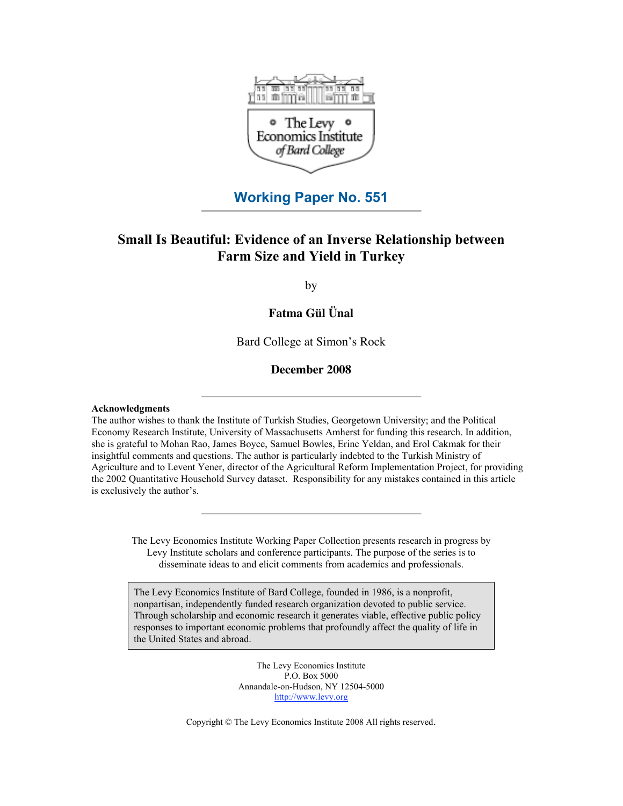

# **Working Paper No. 551**

# **Small Is Beautiful: Evidence of an Inverse Relationship between Farm Size and Yield in Turkey**

by

### **Fatma Gül Ünal**

Bard College at Simon's Rock

**December 2008**

#### **Acknowledgments**

The author wishes to thank the Institute of Turkish Studies, Georgetown University; and the Political Economy Research Institute, University of Massachusetts Amherst for funding this research. In addition, she is grateful to Mohan Rao, James Boyce, Samuel Bowles, Erinc Yeldan, and Erol Cakmak for their insightful comments and questions. The author is particularly indebted to the Turkish Ministry of Agriculture and to Levent Yener, director of the Agricultural Reform Implementation Project, for providing the 2002 Quantitative Household Survey dataset. Responsibility for any mistakes contained in this article is exclusively the author's.

The Levy Economics Institute Working Paper Collection presents research in progress by Levy Institute scholars and conference participants. The purpose of the series is to disseminate ideas to and elicit comments from academics and professionals.

The Levy Economics Institute of Bard College, founded in 1986, is a nonprofit, nonpartisan, independently funded research organization devoted to public service. Through scholarship and economic research it generates viable, effective public policy responses to important economic problems that profoundly affect the quality of life in the United States and abroad.

> The Levy Economics Institute P.O. Box 5000 Annandale-on-Hudson, NY 12504-5000 <http://www.levy.org>

Copyright © The Levy Economics Institute 2008 All rights reserved.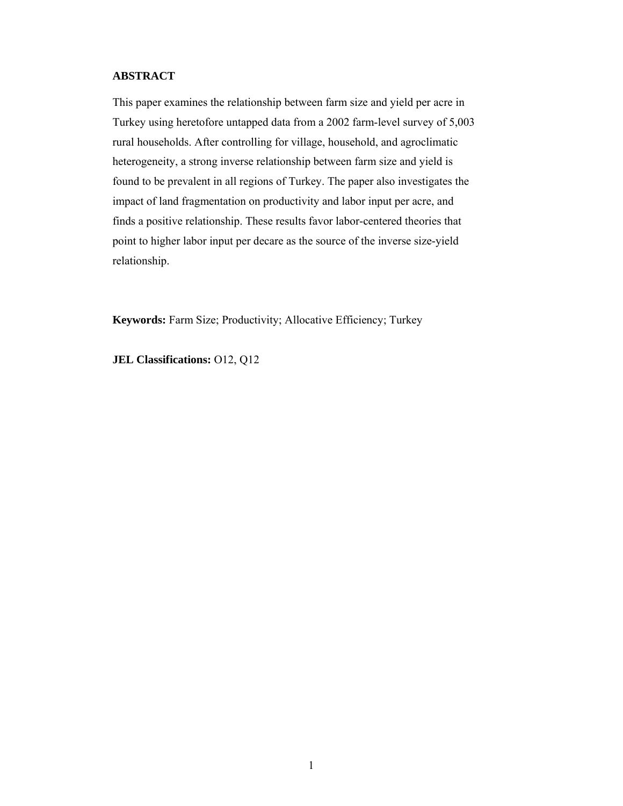#### **ABSTRACT**

This paper examines the relationship between farm size and yield per acre in Turkey using heretofore untapped data from a 2002 farm-level survey of 5,003 rural households. After controlling for village, household, and agroclimatic heterogeneity, a strong inverse relationship between farm size and yield is found to be prevalent in all regions of Turkey. The paper also investigates the impact of land fragmentation on productivity and labor input per acre, and finds a positive relationship. These results favor labor-centered theories that point to higher labor input per decare as the source of the inverse size-yield relationship.

**Keywords:** Farm Size; Productivity; Allocative Efficiency; Turkey

**JEL Classifications:** O12, Q12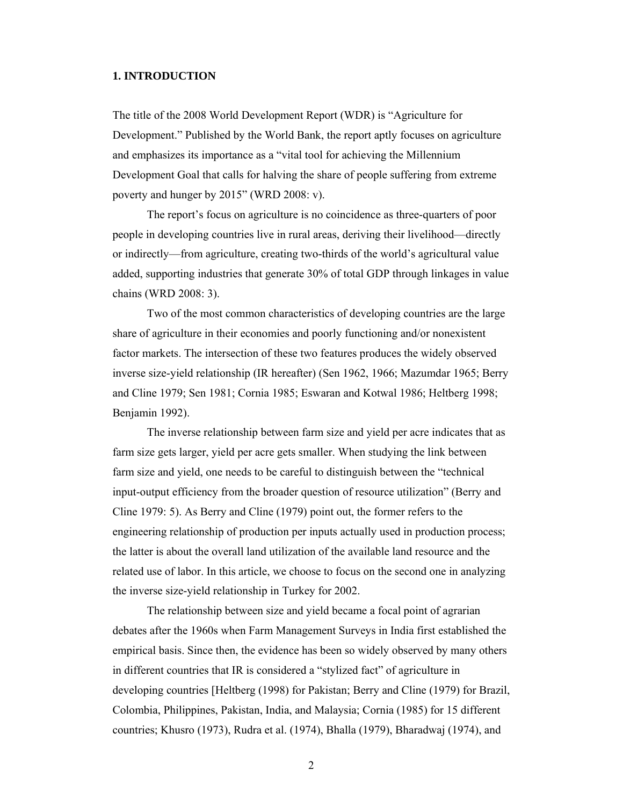#### **1. INTRODUCTION**

The title of the 2008 World Development Report (WDR) is "Agriculture for Development." Published by the World Bank, the report aptly focuses on agriculture and emphasizes its importance as a "vital tool for achieving the Millennium Development Goal that calls for halving the share of people suffering from extreme poverty and hunger by 2015" (WRD 2008: v).

The report's focus on agriculture is no coincidence as three-quarters of poor people in developing countries live in rural areas, deriving their livelihood—directly or indirectly—from agriculture, creating two-thirds of the world's agricultural value added, supporting industries that generate 30% of total GDP through linkages in value chains (WRD 2008: 3).

Two of the most common characteristics of developing countries are the large share of agriculture in their economies and poorly functioning and/or nonexistent factor markets. The intersection of these two features produces the widely observed inverse size-yield relationship (IR hereafter) (Sen 1962, 1966; Mazumdar 1965; Berry and Cline 1979; Sen 1981; Cornia 1985; Eswaran and Kotwal 1986; Heltberg 1998; Benjamin 1992).

The inverse relationship between farm size and yield per acre indicates that as farm size gets larger, yield per acre gets smaller. When studying the link between farm size and yield, one needs to be careful to distinguish between the "technical input-output efficiency from the broader question of resource utilization" (Berry and Cline 1979: 5). As Berry and Cline (1979) point out, the former refers to the engineering relationship of production per inputs actually used in production process; the latter is about the overall land utilization of the available land resource and the related use of labor. In this article, we choose to focus on the second one in analyzing the inverse size-yield relationship in Turkey for 2002.

The relationship between size and yield became a focal point of agrarian debates after the 1960s when Farm Management Surveys in India first established the empirical basis. Since then, the evidence has been so widely observed by many others in different countries that IR is considered a "stylized fact" of agriculture in developing countries [Heltberg (1998) for Pakistan; Berry and Cline (1979) for Brazil, Colombia, Philippines, Pakistan, India, and Malaysia; Cornia (1985) for 15 different countries; Khusro (1973), Rudra et al. (1974), Bhalla (1979), Bharadwaj (1974), and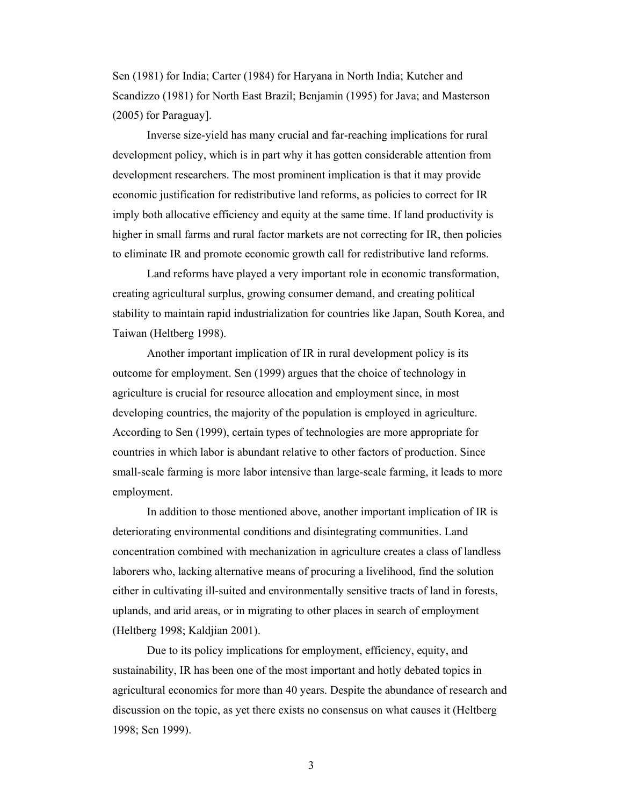Sen (1981) for India; Carter (1984) for Haryana in North India; Kutcher and Scandizzo (1981) for North East Brazil; Benjamin (1995) for Java; and Masterson (2005) for Paraguay].

Inverse size-yield has many crucial and far-reaching implications for rural development policy, which is in part why it has gotten considerable attention from development researchers. The most prominent implication is that it may provide economic justification for redistributive land reforms, as policies to correct for IR imply both allocative efficiency and equity at the same time. If land productivity is higher in small farms and rural factor markets are not correcting for IR, then policies to eliminate IR and promote economic growth call for redistributive land reforms.

 Land reforms have played a very important role in economic transformation, creating agricultural surplus, growing consumer demand, and creating political stability to maintain rapid industrialization for countries like Japan, South Korea, and Taiwan (Heltberg 1998).

Another important implication of IR in rural development policy is its outcome for employment. Sen (1999) argues that the choice of technology in agriculture is crucial for resource allocation and employment since, in most developing countries, the majority of the population is employed in agriculture. According to Sen (1999), certain types of technologies are more appropriate for countries in which labor is abundant relative to other factors of production. Since small-scale farming is more labor intensive than large-scale farming, it leads to more employment.

In addition to those mentioned above, another important implication of IR is deteriorating environmental conditions and disintegrating communities. Land concentration combined with mechanization in agriculture creates a class of landless laborers who, lacking alternative means of procuring a livelihood, find the solution either in cultivating ill-suited and environmentally sensitive tracts of land in forests, uplands, and arid areas, or in migrating to other places in search of employment (Heltberg 1998; Kaldjian 2001).

Due to its policy implications for employment, efficiency, equity, and sustainability, IR has been one of the most important and hotly debated topics in agricultural economics for more than 40 years. Despite the abundance of research and discussion on the topic, as yet there exists no consensus on what causes it (Heltberg 1998; Sen 1999).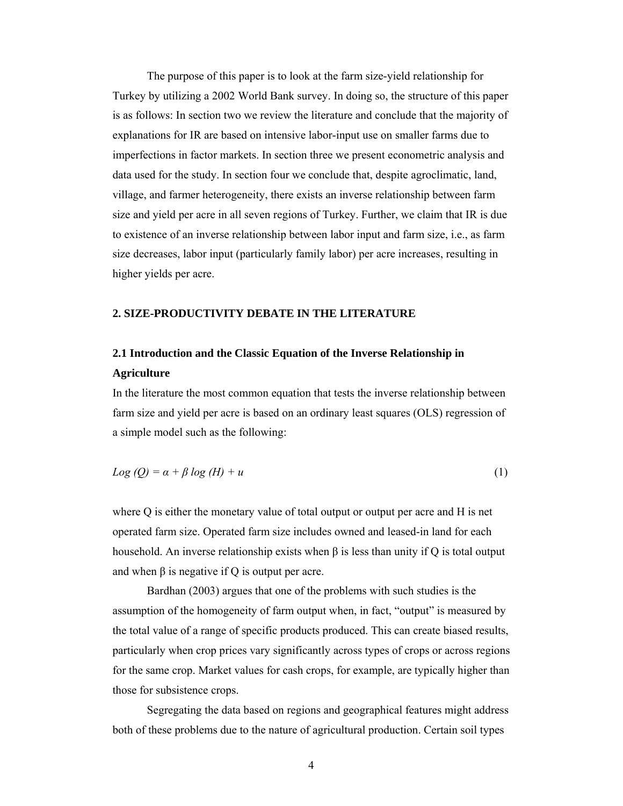The purpose of this paper is to look at the farm size-yield relationship for Turkey by utilizing a 2002 World Bank survey. In doing so, the structure of this paper is as follows: In section two we review the literature and conclude that the majority of explanations for IR are based on intensive labor-input use on smaller farms due to imperfections in factor markets. In section three we present econometric analysis and data used for the study. In section four we conclude that, despite agroclimatic, land, village, and farmer heterogeneity, there exists an inverse relationship between farm size and yield per acre in all seven regions of Turkey. Further, we claim that IR is due to existence of an inverse relationship between labor input and farm size, i.e., as farm size decreases, labor input (particularly family labor) per acre increases, resulting in higher yields per acre.

#### **2. SIZE-PRODUCTIVITY DEBATE IN THE LITERATURE**

# **2.1 Introduction and the Classic Equation of the Inverse Relationship in Agriculture**

In the literature the most common equation that tests the inverse relationship between farm size and yield per acre is based on an ordinary least squares (OLS) regression of a simple model such as the following:

$$
Log (Q) = \alpha + \beta log (H) + u \tag{1}
$$

where Q is either the monetary value of total output or output per acre and H is net operated farm size. Operated farm size includes owned and leased-in land for each household. An inverse relationship exists when  $β$  is less than unity if Q is total output and when  $\beta$  is negative if Q is output per acre.

Bardhan (2003) argues that one of the problems with such studies is the assumption of the homogeneity of farm output when, in fact, "output" is measured by the total value of a range of specific products produced. This can create biased results, particularly when crop prices vary significantly across types of crops or across regions for the same crop. Market values for cash crops, for example, are typically higher than those for subsistence crops.

Segregating the data based on regions and geographical features might address both of these problems due to the nature of agricultural production. Certain soil types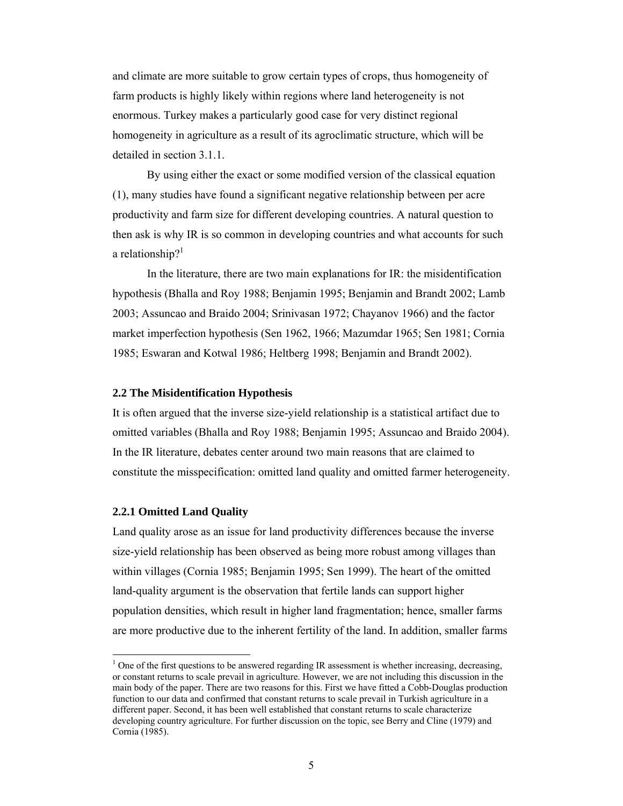and climate are more suitable to grow certain types of crops, thus homogeneity of farm products is highly likely within regions where land heterogeneity is not enormous. Turkey makes a particularly good case for very distinct regional homogeneity in agriculture as a result of its agroclimatic structure, which will be detailed in section 3.1.1.

By using either the exact or some modified version of the classical equation (1), many studies have found a significant negative relationship between per acre productivity and farm size for different developing countries. A natural question to then ask is why IR is so common in developing countries and what accounts for such a relationship?<sup>1</sup>

 In the literature, there are two main explanations for IR: the misidentification hypothesis (Bhalla and Roy 1988; Benjamin 1995; Benjamin and Brandt 2002; Lamb 2003; Assuncao and Braido 2004; Srinivasan 1972; Chayanov 1966) and the factor market imperfection hypothesis (Sen 1962, 1966; Mazumdar 1965; Sen 1981; Cornia 1985; Eswaran and Kotwal 1986; Heltberg 1998; Benjamin and Brandt 2002).

#### **2.2 The Misidentification Hypothesis**

It is often argued that the inverse size-yield relationship is a statistical artifact due to omitted variables (Bhalla and Roy 1988; Benjamin 1995; Assuncao and Braido 2004). In the IR literature, debates center around two main reasons that are claimed to constitute the misspecification: omitted land quality and omitted farmer heterogeneity.

#### **2.2.1 Omitted Land Quality**

 $\overline{\phantom{a}}$ 

Land quality arose as an issue for land productivity differences because the inverse size-yield relationship has been observed as being more robust among villages than within villages (Cornia 1985; Benjamin 1995; Sen 1999). The heart of the omitted land-quality argument is the observation that fertile lands can support higher population densities, which result in higher land fragmentation; hence, smaller farms are more productive due to the inherent fertility of the land. In addition, smaller farms

 $1$  One of the first questions to be answered regarding IR assessment is whether increasing, decreasing, or constant returns to scale prevail in agriculture. However, we are not including this discussion in the main body of the paper. There are two reasons for this. First we have fitted a Cobb-Douglas production function to our data and confirmed that constant returns to scale prevail in Turkish agriculture in a different paper. Second, it has been well established that constant returns to scale characterize developing country agriculture. For further discussion on the topic, see Berry and Cline (1979) and Cornia (1985).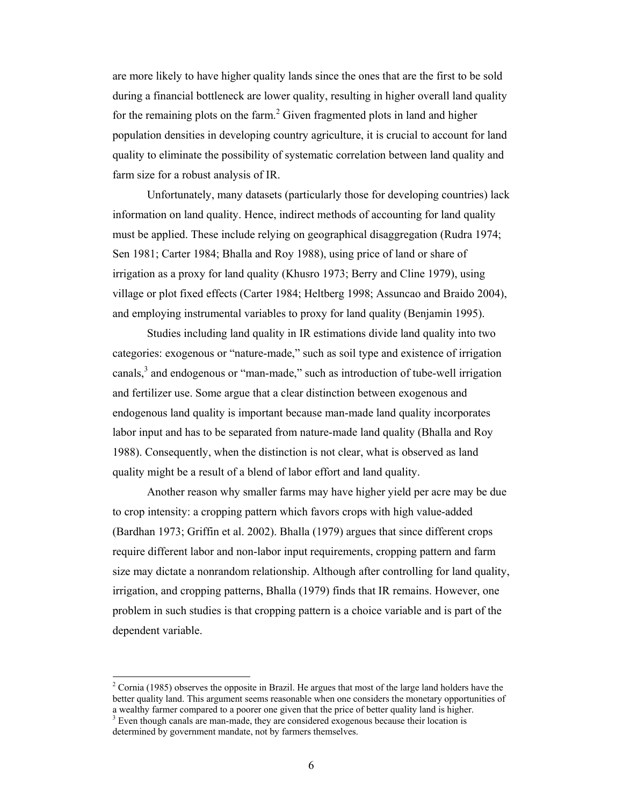are more likely to have higher quality lands since the ones that are the first to be sold during a financial bottleneck are lower quality, resulting in higher overall land quality for the remaining plots on the farm.<sup>2</sup> Given fragmented plots in land and higher population densities in developing country agriculture, it is crucial to account for land quality to eliminate the possibility of systematic correlation between land quality and farm size for a robust analysis of IR.

Unfortunately, many datasets (particularly those for developing countries) lack information on land quality. Hence, indirect methods of accounting for land quality must be applied. These include relying on geographical disaggregation (Rudra 1974; Sen 1981; Carter 1984; Bhalla and Roy 1988), using price of land or share of irrigation as a proxy for land quality (Khusro 1973; Berry and Cline 1979), using village or plot fixed effects (Carter 1984; Heltberg 1998; Assuncao and Braido 2004), and employing instrumental variables to proxy for land quality (Benjamin 1995).

Studies including land quality in IR estimations divide land quality into two categories: exogenous or "nature-made," such as soil type and existence of irrigation canals, $3$  and endogenous or "man-made," such as introduction of tube-well irrigation and fertilizer use. Some argue that a clear distinction between exogenous and endogenous land quality is important because man-made land quality incorporates labor input and has to be separated from nature-made land quality (Bhalla and Roy 1988). Consequently, when the distinction is not clear, what is observed as land quality might be a result of a blend of labor effort and land quality.

Another reason why smaller farms may have higher yield per acre may be due to crop intensity: a cropping pattern which favors crops with high value-added (Bardhan 1973; Griffin et al. 2002). Bhalla (1979) argues that since different crops require different labor and non-labor input requirements, cropping pattern and farm size may dictate a nonrandom relationship. Although after controlling for land quality, irrigation, and cropping patterns, Bhalla (1979) finds that IR remains. However, one problem in such studies is that cropping pattern is a choice variable and is part of the dependent variable.

 $2^2$  Cornia (1985) observes the opposite in Brazil. He argues that most of the large land holders have the better quality land. This argument seems reasonable when one considers the monetary opportunities of a wealthy farmer compared to a poorer one given that the price of better quality land is higher.

<sup>&</sup>lt;sup>3</sup> Even though canals are man-made, they are considered exogenous because their location is determined by government mandate, not by farmers themselves.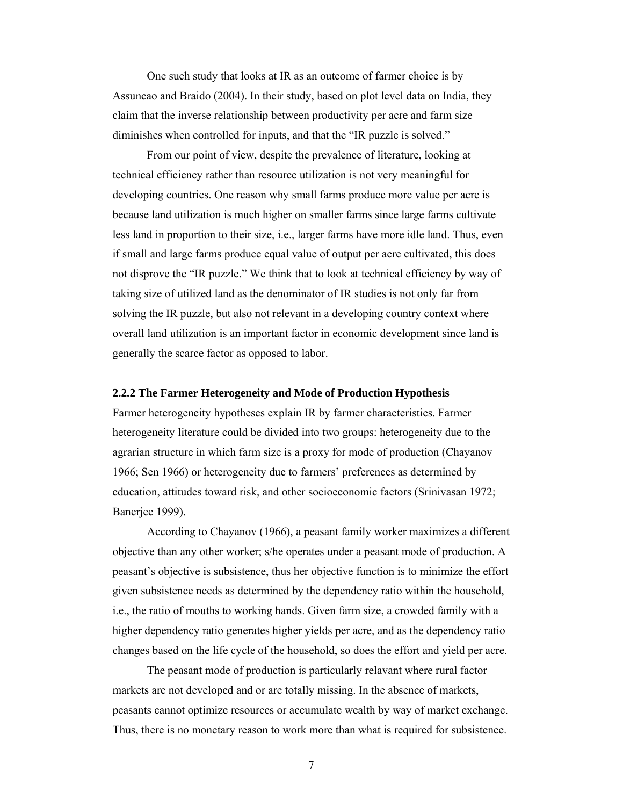One such study that looks at IR as an outcome of farmer choice is by Assuncao and Braido (2004). In their study, based on plot level data on India, they claim that the inverse relationship between productivity per acre and farm size diminishes when controlled for inputs, and that the "IR puzzle is solved."

From our point of view, despite the prevalence of literature, looking at technical efficiency rather than resource utilization is not very meaningful for developing countries. One reason why small farms produce more value per acre is because land utilization is much higher on smaller farms since large farms cultivate less land in proportion to their size, i.e., larger farms have more idle land. Thus, even if small and large farms produce equal value of output per acre cultivated, this does not disprove the "IR puzzle." We think that to look at technical efficiency by way of taking size of utilized land as the denominator of IR studies is not only far from solving the IR puzzle, but also not relevant in a developing country context where overall land utilization is an important factor in economic development since land is generally the scarce factor as opposed to labor.

#### **2.2.2 The Farmer Heterogeneity and Mode of Production Hypothesis**

Farmer heterogeneity hypotheses explain IR by farmer characteristics. Farmer heterogeneity literature could be divided into two groups: heterogeneity due to the agrarian structure in which farm size is a proxy for mode of production (Chayanov 1966; Sen 1966) or heterogeneity due to farmers' preferences as determined by education, attitudes toward risk, and other socioeconomic factors (Srinivasan 1972; Baneriee 1999).

According to Chayanov (1966), a peasant family worker maximizes a different objective than any other worker; s/he operates under a peasant mode of production. A peasant's objective is subsistence, thus her objective function is to minimize the effort given subsistence needs as determined by the dependency ratio within the household, i.e., the ratio of mouths to working hands. Given farm size, a crowded family with a higher dependency ratio generates higher yields per acre, and as the dependency ratio changes based on the life cycle of the household, so does the effort and yield per acre.

The peasant mode of production is particularly relavant where rural factor markets are not developed and or are totally missing. In the absence of markets, peasants cannot optimize resources or accumulate wealth by way of market exchange. Thus, there is no monetary reason to work more than what is required for subsistence.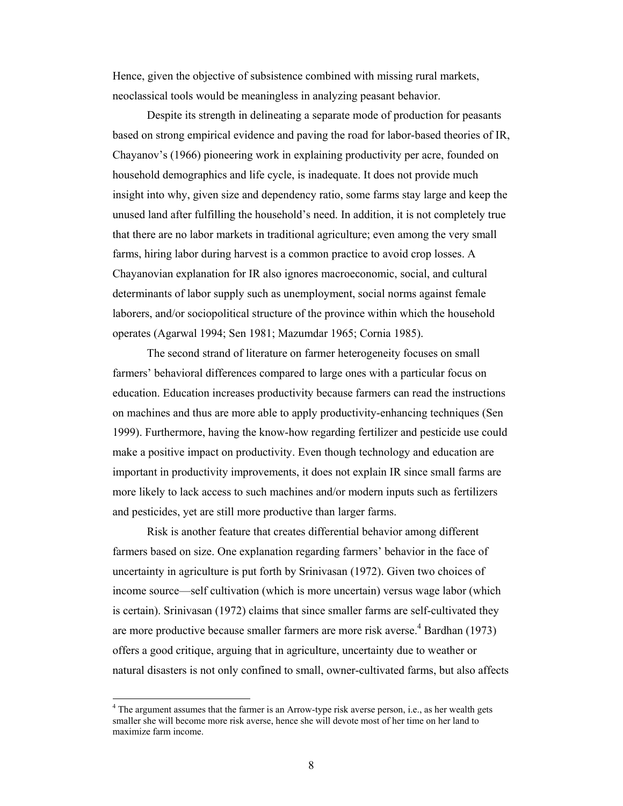Hence, given the objective of subsistence combined with missing rural markets, neoclassical tools would be meaningless in analyzing peasant behavior.

Despite its strength in delineating a separate mode of production for peasants based on strong empirical evidence and paving the road for labor-based theories of IR, Chayanov's (1966) pioneering work in explaining productivity per acre, founded on household demographics and life cycle, is inadequate. It does not provide much insight into why, given size and dependency ratio, some farms stay large and keep the unused land after fulfilling the household's need. In addition, it is not completely true that there are no labor markets in traditional agriculture; even among the very small farms, hiring labor during harvest is a common practice to avoid crop losses. A Chayanovian explanation for IR also ignores macroeconomic, social, and cultural determinants of labor supply such as unemployment, social norms against female laborers, and/or sociopolitical structure of the province within which the household operates (Agarwal 1994; Sen 1981; Mazumdar 1965; Cornia 1985).

The second strand of literature on farmer heterogeneity focuses on small farmers' behavioral differences compared to large ones with a particular focus on education. Education increases productivity because farmers can read the instructions on machines and thus are more able to apply productivity-enhancing techniques (Sen 1999). Furthermore, having the know-how regarding fertilizer and pesticide use could make a positive impact on productivity. Even though technology and education are important in productivity improvements, it does not explain IR since small farms are more likely to lack access to such machines and/or modern inputs such as fertilizers and pesticides, yet are still more productive than larger farms.

Risk is another feature that creates differential behavior among different farmers based on size. One explanation regarding farmers' behavior in the face of uncertainty in agriculture is put forth by Srinivasan (1972). Given two choices of income source—self cultivation (which is more uncertain) versus wage labor (which is certain). Srinivasan (1972) claims that since smaller farms are self-cultivated they are more productive because smaller farmers are more risk averse.<sup>4</sup> Bardhan (1973) offers a good critique, arguing that in agriculture, uncertainty due to weather or natural disasters is not only confined to small, owner-cultivated farms, but also affects

<sup>&</sup>lt;sup>4</sup> The argument assumes that the farmer is an Arrow-type risk averse person, i.e., as her wealth gets smaller she will become more risk averse, hence she will devote most of her time on her land to maximize farm income.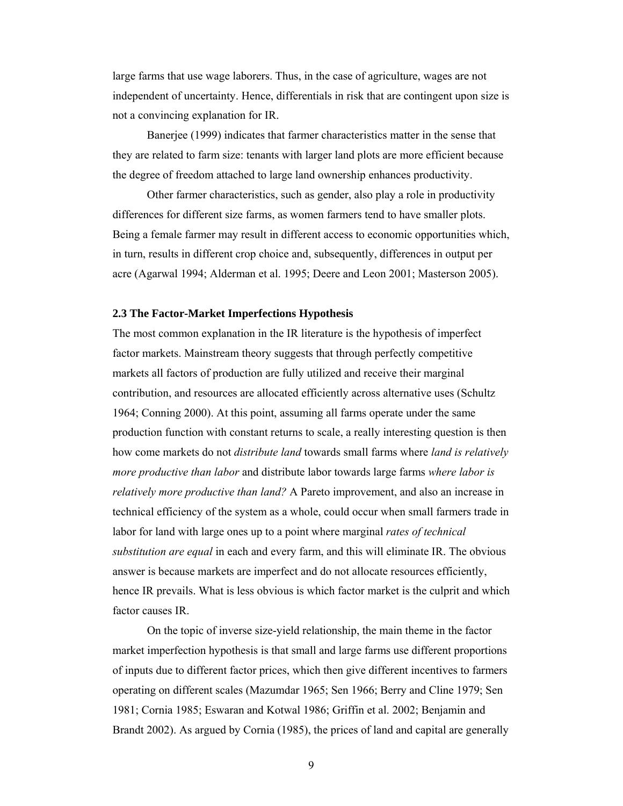large farms that use wage laborers. Thus, in the case of agriculture, wages are not independent of uncertainty. Hence, differentials in risk that are contingent upon size is not a convincing explanation for IR.

Banerjee (1999) indicates that farmer characteristics matter in the sense that they are related to farm size: tenants with larger land plots are more efficient because the degree of freedom attached to large land ownership enhances productivity.

Other farmer characteristics, such as gender, also play a role in productivity differences for different size farms, as women farmers tend to have smaller plots. Being a female farmer may result in different access to economic opportunities which, in turn, results in different crop choice and, subsequently, differences in output per acre (Agarwal 1994; Alderman et al. 1995; Deere and Leon 2001; Masterson 2005).

#### **2.3 The Factor-Market Imperfections Hypothesis**

The most common explanation in the IR literature is the hypothesis of imperfect factor markets. Mainstream theory suggests that through perfectly competitive markets all factors of production are fully utilized and receive their marginal contribution, and resources are allocated efficiently across alternative uses (Schultz 1964; Conning 2000). At this point, assuming all farms operate under the same production function with constant returns to scale, a really interesting question is then how come markets do not *distribute land* towards small farms where *land is relatively more productive than labor* and distribute labor towards large farms *where labor is relatively more productive than land?* A Pareto improvement, and also an increase in technical efficiency of the system as a whole, could occur when small farmers trade in labor for land with large ones up to a point where marginal *rates of technical substitution are equal* in each and every farm, and this will eliminate IR. The obvious answer is because markets are imperfect and do not allocate resources efficiently, hence IR prevails. What is less obvious is which factor market is the culprit and which factor causes IR.

On the topic of inverse size-yield relationship, the main theme in the factor market imperfection hypothesis is that small and large farms use different proportions of inputs due to different factor prices, which then give different incentives to farmers operating on different scales (Mazumdar 1965; Sen 1966; Berry and Cline 1979; Sen 1981; Cornia 1985; Eswaran and Kotwal 1986; Griffin et al. 2002; Benjamin and Brandt 2002). As argued by Cornia (1985), the prices of land and capital are generally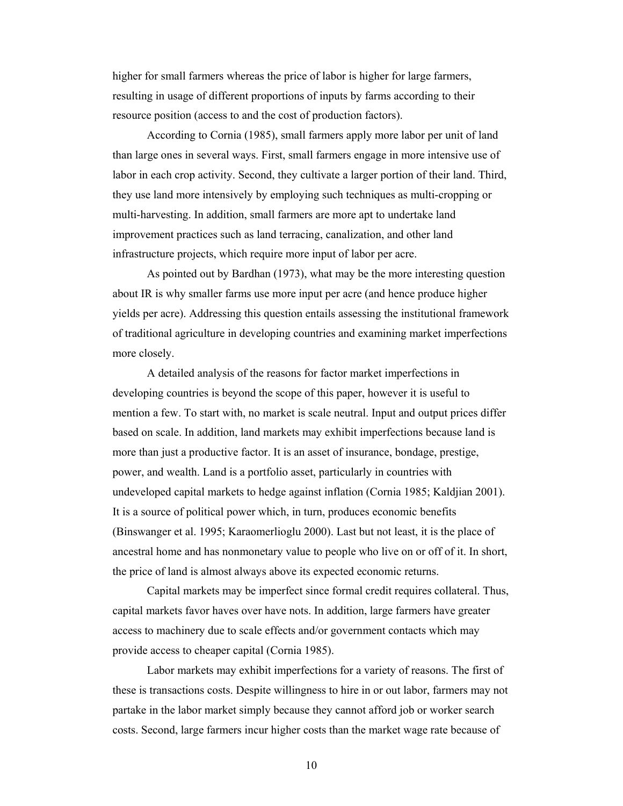higher for small farmers whereas the price of labor is higher for large farmers, resulting in usage of different proportions of inputs by farms according to their resource position (access to and the cost of production factors).

According to Cornia (1985), small farmers apply more labor per unit of land than large ones in several ways. First, small farmers engage in more intensive use of labor in each crop activity. Second, they cultivate a larger portion of their land. Third, they use land more intensively by employing such techniques as multi-cropping or multi-harvesting. In addition, small farmers are more apt to undertake land improvement practices such as land terracing, canalization, and other land infrastructure projects, which require more input of labor per acre.

As pointed out by Bardhan (1973), what may be the more interesting question about IR is why smaller farms use more input per acre (and hence produce higher yields per acre). Addressing this question entails assessing the institutional framework of traditional agriculture in developing countries and examining market imperfections more closely.

A detailed analysis of the reasons for factor market imperfections in developing countries is beyond the scope of this paper, however it is useful to mention a few. To start with, no market is scale neutral. Input and output prices differ based on scale. In addition, land markets may exhibit imperfections because land is more than just a productive factor. It is an asset of insurance, bondage, prestige, power, and wealth. Land is a portfolio asset, particularly in countries with undeveloped capital markets to hedge against inflation (Cornia 1985; Kaldjian 2001). It is a source of political power which, in turn, produces economic benefits (Binswanger et al. 1995; Karaomerlioglu 2000). Last but not least, it is the place of ancestral home and has nonmonetary value to people who live on or off of it. In short, the price of land is almost always above its expected economic returns.

Capital markets may be imperfect since formal credit requires collateral. Thus, capital markets favor haves over have nots. In addition, large farmers have greater access to machinery due to scale effects and/or government contacts which may provide access to cheaper capital (Cornia 1985).

Labor markets may exhibit imperfections for a variety of reasons. The first of these is transactions costs. Despite willingness to hire in or out labor, farmers may not partake in the labor market simply because they cannot afford job or worker search costs. Second, large farmers incur higher costs than the market wage rate because of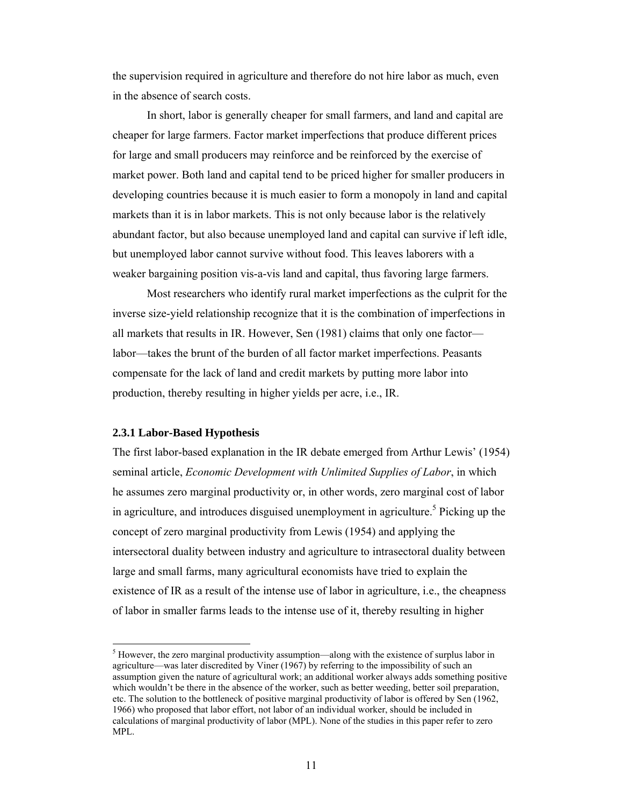the supervision required in agriculture and therefore do not hire labor as much, even in the absence of search costs.

In short, labor is generally cheaper for small farmers, and land and capital are cheaper for large farmers. Factor market imperfections that produce different prices for large and small producers may reinforce and be reinforced by the exercise of market power. Both land and capital tend to be priced higher for smaller producers in developing countries because it is much easier to form a monopoly in land and capital markets than it is in labor markets. This is not only because labor is the relatively abundant factor, but also because unemployed land and capital can survive if left idle, but unemployed labor cannot survive without food. This leaves laborers with a weaker bargaining position vis-a-vis land and capital, thus favoring large farmers.

Most researchers who identify rural market imperfections as the culprit for the inverse size-yield relationship recognize that it is the combination of imperfections in all markets that results in IR. However, Sen (1981) claims that only one factor labor—takes the brunt of the burden of all factor market imperfections. Peasants compensate for the lack of land and credit markets by putting more labor into production, thereby resulting in higher yields per acre, i.e., IR.

#### **2.3.1 Labor-Based Hypothesis**

 $\overline{a}$ 

The first labor-based explanation in the IR debate emerged from Arthur Lewis' (1954) seminal article, *Economic Development with Unlimited Supplies of Labor*, in which he assumes zero marginal productivity or, in other words, zero marginal cost of labor in agriculture, and introduces disguised unemployment in agriculture.<sup>5</sup> Picking up the concept of zero marginal productivity from Lewis (1954) and applying the intersectoral duality between industry and agriculture to intrasectoral duality between large and small farms, many agricultural economists have tried to explain the existence of IR as a result of the intense use of labor in agriculture, i.e., the cheapness of labor in smaller farms leads to the intense use of it, thereby resulting in higher

 $<sup>5</sup>$  However, the zero marginal productivity assumption—along with the existence of surplus labor in</sup> agriculture—was later discredited by Viner (1967) by referring to the impossibility of such an assumption given the nature of agricultural work; an additional worker always adds something positive which wouldn't be there in the absence of the worker, such as better weeding, better soil preparation, etc. The solution to the bottleneck of positive marginal productivity of labor is offered by Sen (1962, 1966) who proposed that labor effort, not labor of an individual worker, should be included in calculations of marginal productivity of labor (MPL). None of the studies in this paper refer to zero MPL.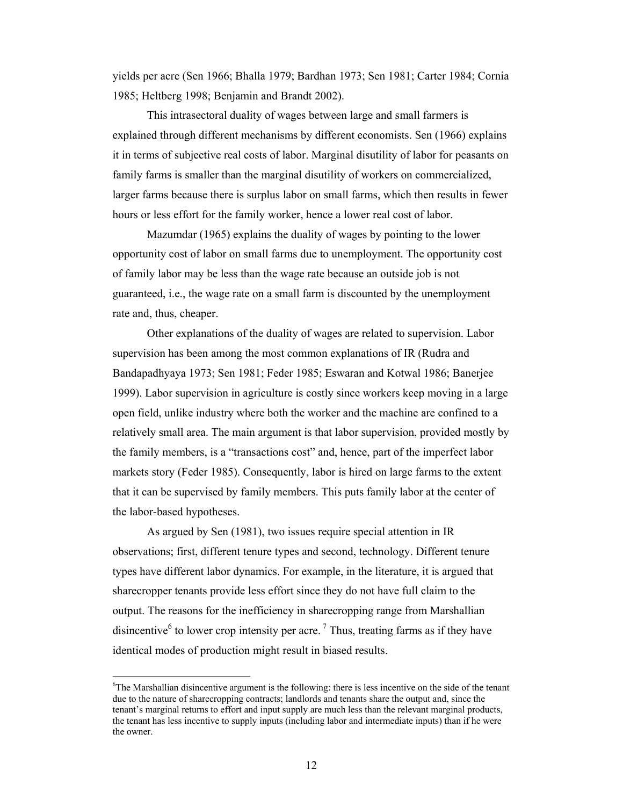yields per acre (Sen 1966; Bhalla 1979; Bardhan 1973; Sen 1981; Carter 1984; Cornia 1985; Heltberg 1998; Benjamin and Brandt 2002).

This intrasectoral duality of wages between large and small farmers is explained through different mechanisms by different economists. Sen (1966) explains it in terms of subjective real costs of labor. Marginal disutility of labor for peasants on family farms is smaller than the marginal disutility of workers on commercialized, larger farms because there is surplus labor on small farms, which then results in fewer hours or less effort for the family worker, hence a lower real cost of labor.

Mazumdar (1965) explains the duality of wages by pointing to the lower opportunity cost of labor on small farms due to unemployment. The opportunity cost of family labor may be less than the wage rate because an outside job is not guaranteed, i.e., the wage rate on a small farm is discounted by the unemployment rate and, thus, cheaper.

Other explanations of the duality of wages are related to supervision. Labor supervision has been among the most common explanations of IR (Rudra and Bandapadhyaya 1973; Sen 1981; Feder 1985; Eswaran and Kotwal 1986; Banerjee 1999). Labor supervision in agriculture is costly since workers keep moving in a large open field, unlike industry where both the worker and the machine are confined to a relatively small area. The main argument is that labor supervision, provided mostly by the family members, is a "transactions cost" and, hence, part of the imperfect labor markets story (Feder 1985). Consequently, labor is hired on large farms to the extent that it can be supervised by family members. This puts family labor at the center of the labor-based hypotheses.

As argued by Sen (1981), two issues require special attention in IR observations; first, different tenure types and second, technology. Different tenure types have different labor dynamics. For example, in the literature, it is argued that sharecropper tenants provide less effort since they do not have full claim to the output. The reasons for the inefficiency in sharecropping range from Marshallian disincentive <sup>6</sup> to lower crop intensity per acre.<sup>7</sup> Thus, treating farms as if they have identical modes of production might result in biased results.

<sup>&</sup>lt;sup>6</sup>The Marshallian disincentive argument is the following: there is less incentive on the side of the tenant due to the nature of sharecropping contracts; landlords and tenants share the output and, since the tenant's marginal returns to effort and input supply are much less than the relevant marginal products, the tenant has less incentive to supply inputs (including labor and intermediate inputs) than if he were the owner.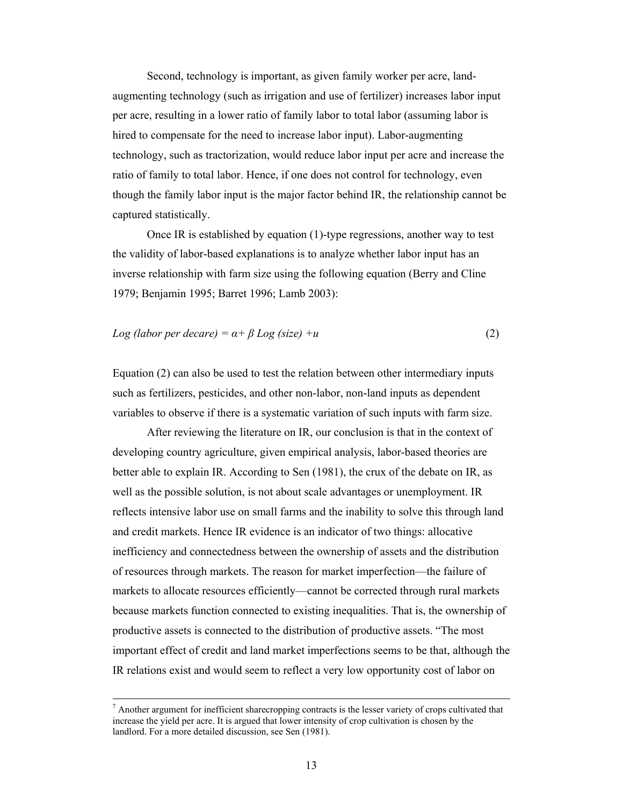Second, technology is important, as given family worker per acre, landaugmenting technology (such as irrigation and use of fertilizer) increases labor input per acre, resulting in a lower ratio of family labor to total labor (assuming labor is hired to compensate for the need to increase labor input). Labor-augmenting technology, such as tractorization, would reduce labor input per acre and increase the ratio of family to total labor. Hence, if one does not control for technology, even though the family labor input is the major factor behind IR, the relationship cannot be captured statistically.

Once IR is established by equation (1)-type regressions, another way to test the validity of labor-based explanations is to analyze whether labor input has an inverse relationship with farm size using the following equation (Berry and Cline 1979; Benjamin 1995; Barret 1996; Lamb 2003):

$$
Log (labor per decade) = \alpha + \beta Log (size) + u \tag{2}
$$

Equation (2) can also be used to test the relation between other intermediary inputs such as fertilizers, pesticides, and other non-labor, non-land inputs as dependent variables to observe if there is a systematic variation of such inputs with farm size.

After reviewing the literature on IR, our conclusion is that in the context of developing country agriculture, given empirical analysis, labor-based theories are better able to explain IR. According to Sen (1981), the crux of the debate on IR, as well as the possible solution, is not about scale advantages or unemployment. IR reflects intensive labor use on small farms and the inability to solve this through land and credit markets. Hence IR evidence is an indicator of two things: allocative inefficiency and connectedness between the ownership of assets and the distribution of resources through markets. The reason for market imperfection—the failure of markets to allocate resources efficiently—cannot be corrected through rural markets because markets function connected to existing inequalities. That is, the ownership of productive assets is connected to the distribution of productive assets. "The most important effect of credit and land market imperfections seems to be that, although the IR relations exist and would seem to reflect a very low opportunity cost of labor on

<sup>-&</sup>lt;br>7  $\alpha$  Another argument for inefficient sharecropping contracts is the lesser variety of crops cultivated that increase the yield per acre. It is argued that lower intensity of crop cultivation is chosen by the landlord. For a more detailed discussion, see Sen (1981).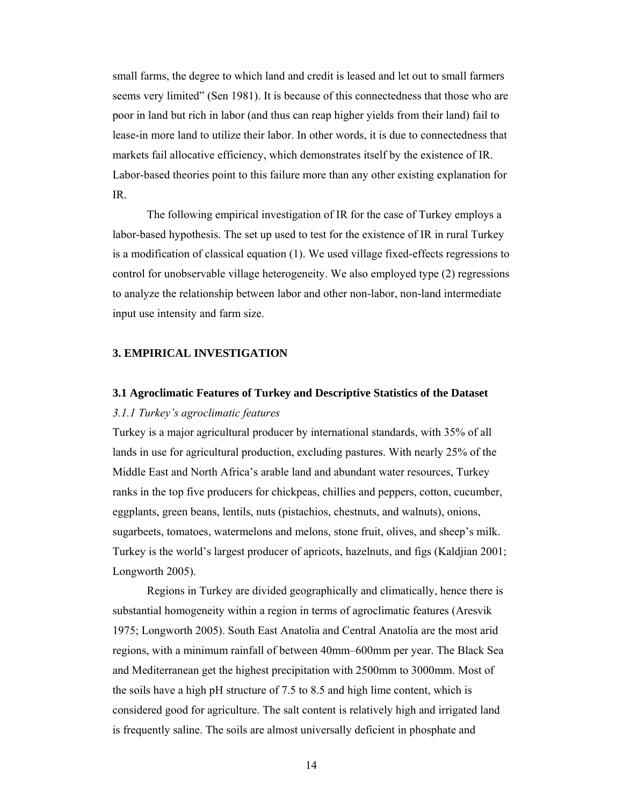small farms, the degree to which land and credit is leased and let out to small farmers seems very limited" (Sen 1981). It is because of this connectedness that those who are poor in land but rich in labor (and thus can reap higher yields from their land) fail to lease-in more land to utilize their labor. In other words, it is due to connectedness that markets fail allocative efficiency, which demonstrates itself by the existence of IR. Labor-based theories point to this failure more than any other existing explanation for IR.

The following empirical investigation of IR for the case of Turkey employs a labor-based hypothesis. The set up used to test for the existence of IR in rural Turkey is a modification of classical equation (1). We used village fixed-effects regressions to control for unobservable village heterogeneity. We also employed type (2) regressions to analyze the relationship between labor and other non-labor, non-land intermediate input use intensity and farm size.

#### **3. EMPIRICAL INVESTIGATION**

#### **3.1 Agroclimatic Features of Turkey and Descriptive Statistics of the Dataset**

#### *3.1.1 Turkey's agroclimatic features*

Turkey is a major agricultural producer by international standards, with 35% of all lands in use for agricultural production, excluding pastures. With nearly 25% of the Middle East and North Africa's arable land and abundant water resources, Turkey ranks in the top five producers for chickpeas, chillies and peppers, cotton, cucumber, eggplants, green beans, lentils, nuts (pistachios, chestnuts, and walnuts), onions, sugarbeets, tomatoes, watermelons and melons, stone fruit, olives, and sheep's milk. Turkey is the world's largest producer of apricots, hazelnuts, and figs (Kaldjian 2001; Longworth 2005).

Regions in Turkey are divided geographically and climatically, hence there is substantial homogeneity within a region in terms of agroclimatic features (Aresvik 1975; Longworth 2005). South East Anatolia and Central Anatolia are the most arid regions, with a minimum rainfall of between 40mm–600mm per year. The Black Sea and Mediterranean get the highest precipitation with 2500mm to 3000mm. Most of the soils have a high pH structure of 7.5 to 8.5 and high lime content, which is considered good for agriculture. The salt content is relatively high and irrigated land is frequently saline. The soils are almost universally deficient in phosphate and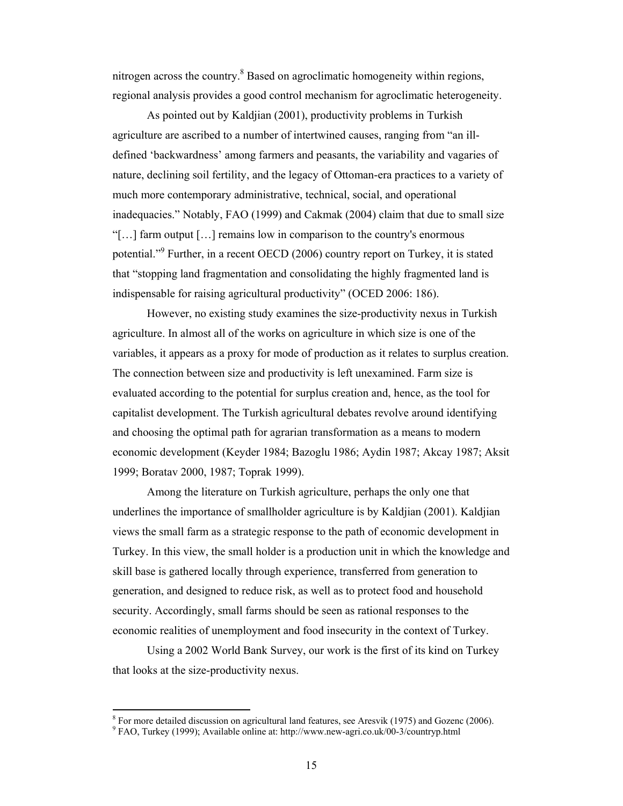nitrogen across the country.<sup>8</sup> Based on agroclimatic homogeneity within regions, regional analysis provides a good control mechanism for agroclimatic heterogeneity.

As pointed out by Kaldjian (2001), productivity problems in Turkish agriculture are ascribed to a number of intertwined causes, ranging from "an illdefined 'backwardness' among farmers and peasants, the variability and vagaries of nature, declining soil fertility, and the legacy of Ottoman-era practices to a variety of much more contemporary administrative, technical, social, and operational inadequacies." Notably, FAO (1999) and Cakmak (2004) claim that due to small size "[…] farm output […] remains low in comparison to the country's enormous potential."<sup>9</sup> Further, in a recent OECD (2006) country report on Turkey, it is stated that "stopping land fragmentation and consolidating the highly fragmented land is indispensable for raising agricultural productivity" (OCED 2006: 186).

However, no existing study examines the size-productivity nexus in Turkish agriculture. In almost all of the works on agriculture in which size is one of the variables, it appears as a proxy for mode of production as it relates to surplus creation. The connection between size and productivity is left unexamined. Farm size is evaluated according to the potential for surplus creation and, hence, as the tool for capitalist development. The Turkish agricultural debates revolve around identifying and choosing the optimal path for agrarian transformation as a means to modern economic development (Keyder 1984; Bazoglu 1986; Aydin 1987; Akcay 1987; Aksit 1999; Boratav 2000, 1987; Toprak 1999).

Among the literature on Turkish agriculture, perhaps the only one that underlines the importance of smallholder agriculture is by Kaldjian (2001). Kaldjian views the small farm as a strategic response to the path of economic development in Turkey. In this view, the small holder is a production unit in which the knowledge and skill base is gathered locally through experience, transferred from generation to generation, and designed to reduce risk, as well as to protect food and household security. Accordingly, small farms should be seen as rational responses to the economic realities of unemployment and food insecurity in the context of Turkey.

Using a 2002 World Bank Survey, our work is the first of its kind on Turkey that looks at the size-productivity nexus.

 $8$  For more detailed discussion on agricultural land features, see Aresvik (1975) and Gozenc (2006).

<sup>9</sup> FAO, Turkey (1999); Available online at: http://www.new-agri.co.uk/00-3/countryp.html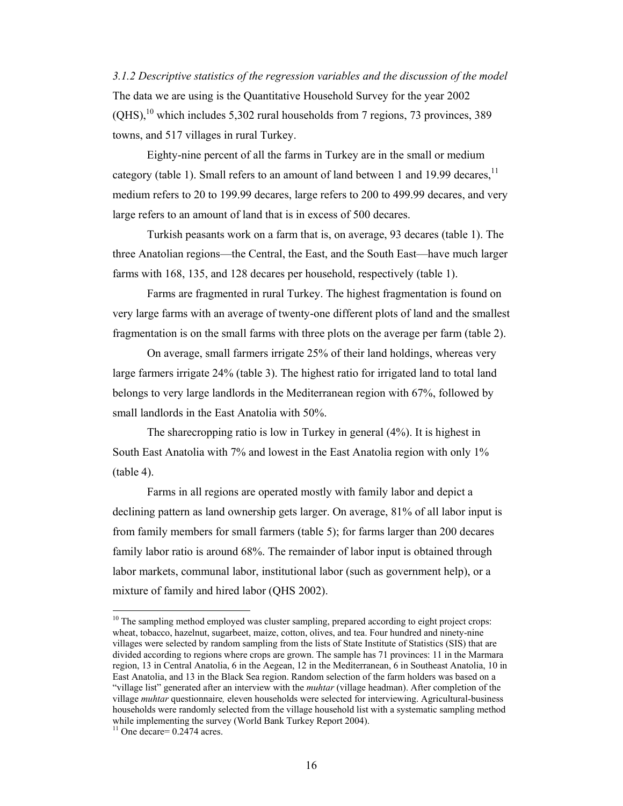*3.1.2 Descriptive statistics of the regression variables and the discussion of the model*  The data we are using is the Quantitative Household Survey for the year 2002  $(OHS)$ ,<sup>10</sup> which includes 5,302 rural households from 7 regions, 73 provinces, 389 towns, and 517 villages in rural Turkey.

Eighty-nine percent of all the farms in Turkey are in the small or medium category (table 1). Small refers to an amount of land between 1 and 19.99 decares,  $^{11}$ medium refers to 20 to 199.99 decares, large refers to 200 to 499.99 decares, and very large refers to an amount of land that is in excess of 500 decares.

Turkish peasants work on a farm that is, on average, 93 decares (table 1). The three Anatolian regions—the Central, the East, and the South East—have much larger farms with 168, 135, and 128 decares per household, respectively (table 1).

Farms are fragmented in rural Turkey. The highest fragmentation is found on very large farms with an average of twenty-one different plots of land and the smallest fragmentation is on the small farms with three plots on the average per farm (table 2).

On average, small farmers irrigate 25% of their land holdings, whereas very large farmers irrigate 24% (table 3). The highest ratio for irrigated land to total land belongs to very large landlords in the Mediterranean region with 67%, followed by small landlords in the East Anatolia with 50%.

The sharecropping ratio is low in Turkey in general (4%). It is highest in South East Anatolia with 7% and lowest in the East Anatolia region with only 1% (table 4).

Farms in all regions are operated mostly with family labor and depict a declining pattern as land ownership gets larger. On average, 81% of all labor input is from family members for small farmers (table 5); for farms larger than 200 decares family labor ratio is around 68%. The remainder of labor input is obtained through labor markets, communal labor, institutional labor (such as government help), or a mixture of family and hired labor (QHS 2002).

<sup>&</sup>lt;sup>10</sup> The sampling method employed was cluster sampling, prepared according to eight project crops: wheat, tobacco, hazelnut, sugarbeet, maize, cotton, olives, and tea. Four hundred and ninety-nine villages were selected by random sampling from the lists of State Institute of Statistics (SIS) that are divided according to regions where crops are grown. The sample has 71 provinces: 11 in the Marmara region, 13 in Central Anatolia, 6 in the Aegean, 12 in the Mediterranean, 6 in Southeast Anatolia, 10 in East Anatolia, and 13 in the Black Sea region. Random selection of the farm holders was based on a "village list" generated after an interview with the *muhtar* (village headman). After completion of the village *muhtar* questionnaire*,* eleven households were selected for interviewing. Agricultural-business households were randomly selected from the village household list with a systematic sampling method while implementing the survey (World Bank Turkey Report 2004).

<sup>&</sup>lt;sup>11</sup> One decare=  $0.2474$  acres.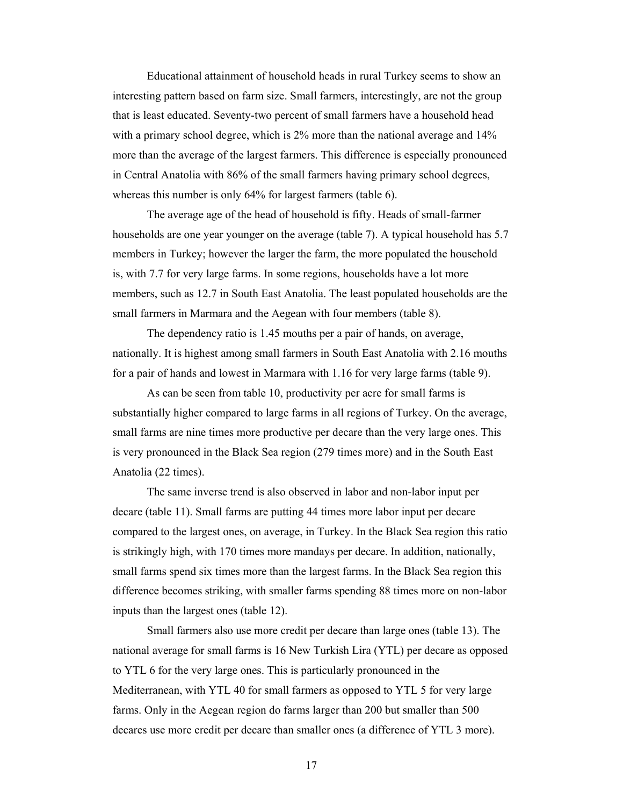Educational attainment of household heads in rural Turkey seems to show an interesting pattern based on farm size. Small farmers, interestingly, are not the group that is least educated. Seventy-two percent of small farmers have a household head with a primary school degree, which is 2% more than the national average and 14% more than the average of the largest farmers. This difference is especially pronounced in Central Anatolia with 86% of the small farmers having primary school degrees, whereas this number is only 64% for largest farmers (table 6).

The average age of the head of household is fifty. Heads of small-farmer households are one year younger on the average (table 7). A typical household has 5.7 members in Turkey; however the larger the farm, the more populated the household is, with 7.7 for very large farms. In some regions, households have a lot more members, such as 12.7 in South East Anatolia. The least populated households are the small farmers in Marmara and the Aegean with four members (table 8).

The dependency ratio is 1.45 mouths per a pair of hands, on average, nationally. It is highest among small farmers in South East Anatolia with 2.16 mouths for a pair of hands and lowest in Marmara with 1.16 for very large farms (table 9).

As can be seen from table 10, productivity per acre for small farms is substantially higher compared to large farms in all regions of Turkey. On the average, small farms are nine times more productive per decare than the very large ones. This is very pronounced in the Black Sea region (279 times more) and in the South East Anatolia (22 times).

The same inverse trend is also observed in labor and non-labor input per decare (table 11). Small farms are putting 44 times more labor input per decare compared to the largest ones, on average, in Turkey. In the Black Sea region this ratio is strikingly high, with 170 times more mandays per decare. In addition, nationally, small farms spend six times more than the largest farms. In the Black Sea region this difference becomes striking, with smaller farms spending 88 times more on non-labor inputs than the largest ones (table 12).

Small farmers also use more credit per decare than large ones (table 13). The national average for small farms is 16 New Turkish Lira (YTL) per decare as opposed to YTL 6 for the very large ones. This is particularly pronounced in the Mediterranean, with YTL 40 for small farmers as opposed to YTL 5 for very large farms. Only in the Aegean region do farms larger than 200 but smaller than 500 decares use more credit per decare than smaller ones (a difference of YTL 3 more).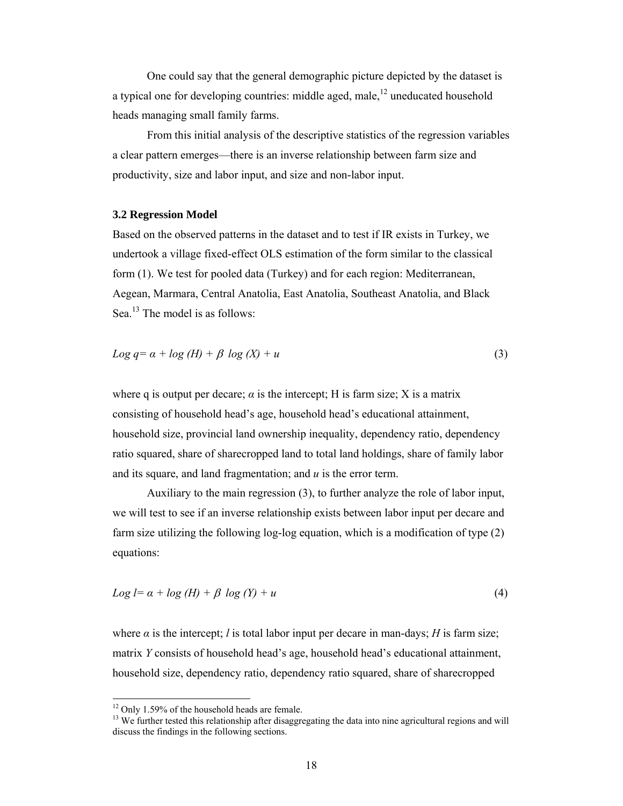One could say that the general demographic picture depicted by the dataset is a typical one for developing countries: middle aged, male,<sup>12</sup> uneducated household heads managing small family farms.

From this initial analysis of the descriptive statistics of the regression variables a clear pattern emerges—there is an inverse relationship between farm size and productivity, size and labor input, and size and non-labor input.

#### **3.2 Regression Model**

Based on the observed patterns in the dataset and to test if IR exists in Turkey, we undertook a village fixed-effect OLS estimation of the form similar to the classical form (1). We test for pooled data (Turkey) and for each region: Mediterranean, Aegean, Marmara, Central Anatolia, East Anatolia, Southeast Anatolia, and Black Sea.<sup>13</sup> The model is as follows:

$$
Log q = \alpha + log (H) + \beta log (X) + u \tag{3}
$$

where q is output per decare;  $\alpha$  is the intercept; H is farm size; X is a matrix consisting of household head's age, household head's educational attainment, household size, provincial land ownership inequality, dependency ratio, dependency ratio squared, share of sharecropped land to total land holdings, share of family labor and its square, and land fragmentation; and *u* is the error term.

Auxiliary to the main regression (3), to further analyze the role of labor input, we will test to see if an inverse relationship exists between labor input per decare and farm size utilizing the following log-log equation, which is a modification of type (2) equations:

$$
Log l = \alpha + log (H) + \beta log (Y) + u \tag{4}
$$

where  $\alpha$  is the intercept; *l* is total labor input per decare in man-days; *H* is farm size; matrix *Y* consists of household head's age, household head's educational attainment, household size, dependency ratio, dependency ratio squared, share of sharecropped

 $12$  Only 1.59% of the household heads are female.

<sup>&</sup>lt;sup>13</sup> We further tested this relationship after disaggregating the data into nine agricultural regions and will discuss the findings in the following sections.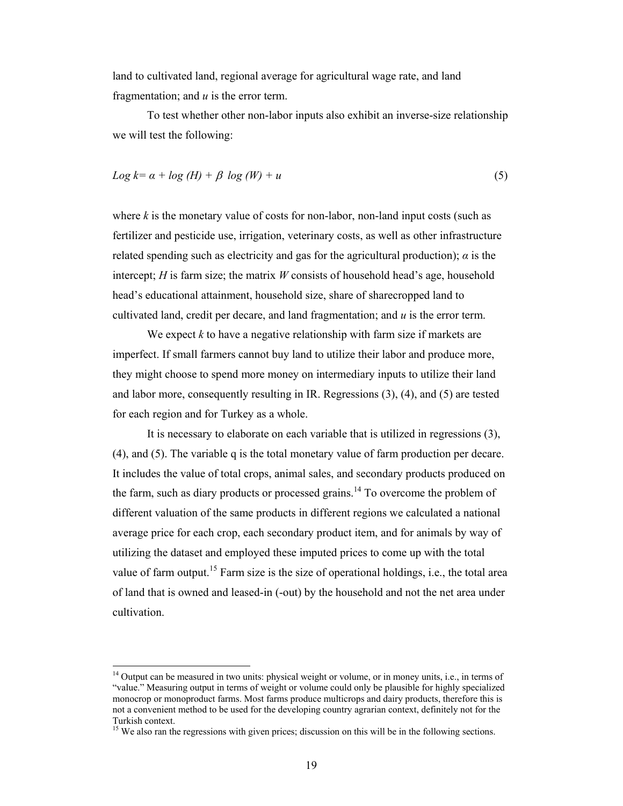land to cultivated land, regional average for agricultural wage rate, and land fragmentation; and *u* is the error term.

To test whether other non-labor inputs also exhibit an inverse-size relationship we will test the following:

$$
Log\ k = \alpha + log\ (H) + \beta log\ (W) + u \tag{5}
$$

where *k* is the monetary value of costs for non-labor, non-land input costs (such as fertilizer and pesticide use, irrigation, veterinary costs, as well as other infrastructure related spending such as electricity and gas for the agricultural production); *α* is the intercept; *H* is farm size; the matrix *W* consists of household head's age, household head's educational attainment, household size, share of sharecropped land to cultivated land, credit per decare, and land fragmentation; and *u* is the error term.

We expect *k* to have a negative relationship with farm size if markets are imperfect. If small farmers cannot buy land to utilize their labor and produce more, they might choose to spend more money on intermediary inputs to utilize their land and labor more, consequently resulting in IR. Regressions (3), (4), and (5) are tested for each region and for Turkey as a whole.

It is necessary to elaborate on each variable that is utilized in regressions (3), (4), and (5). The variable q is the total monetary value of farm production per decare. It includes the value of total crops, animal sales, and secondary products produced on the farm, such as diary products or processed grains.<sup>14</sup> To overcome the problem of different valuation of the same products in different regions we calculated a national average price for each crop, each secondary product item, and for animals by way of utilizing the dataset and employed these imputed prices to come up with the total value of farm output.<sup>15</sup> Farm size is the size of operational holdings, i.e., the total area of land that is owned and leased-in (-out) by the household and not the net area under cultivation.

<sup>&</sup>lt;sup>14</sup> Output can be measured in two units: physical weight or volume, or in money units, i.e., in terms of "value." Measuring output in terms of weight or volume could only be plausible for highly specialized monocrop or monoproduct farms. Most farms produce multicrops and dairy products, therefore this is not a convenient method to be used for the developing country agrarian context, definitely not for the Turkish context.

<sup>&</sup>lt;sup>15</sup> We also ran the regressions with given prices; discussion on this will be in the following sections.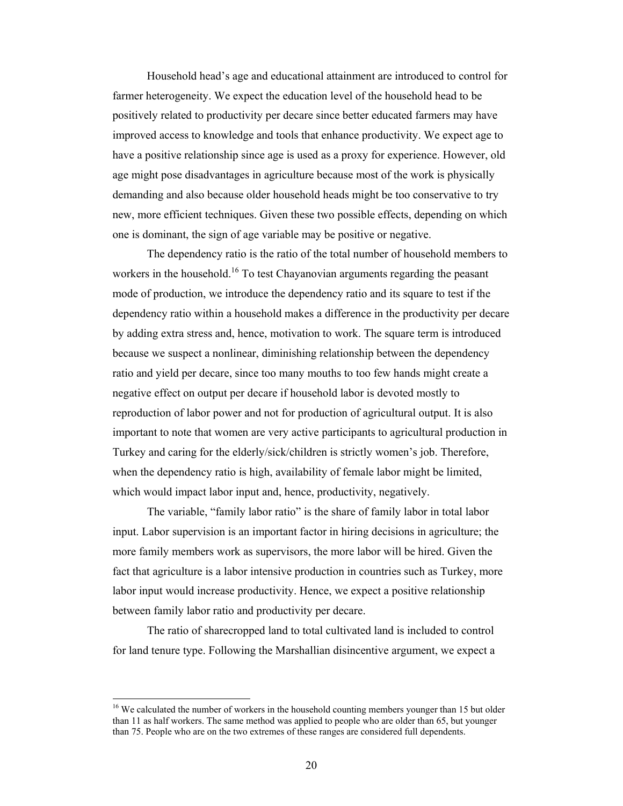Household head's age and educational attainment are introduced to control for farmer heterogeneity. We expect the education level of the household head to be positively related to productivity per decare since better educated farmers may have improved access to knowledge and tools that enhance productivity. We expect age to have a positive relationship since age is used as a proxy for experience. However, old age might pose disadvantages in agriculture because most of the work is physically demanding and also because older household heads might be too conservative to try new, more efficient techniques. Given these two possible effects, depending on which one is dominant, the sign of age variable may be positive or negative.

The dependency ratio is the ratio of the total number of household members to workers in the household.<sup>16</sup> To test Chayanovian arguments regarding the peasant mode of production, we introduce the dependency ratio and its square to test if the dependency ratio within a household makes a difference in the productivity per decare by adding extra stress and, hence, motivation to work. The square term is introduced because we suspect a nonlinear, diminishing relationship between the dependency ratio and yield per decare, since too many mouths to too few hands might create a negative effect on output per decare if household labor is devoted mostly to reproduction of labor power and not for production of agricultural output. It is also important to note that women are very active participants to agricultural production in Turkey and caring for the elderly/sick/children is strictly women's job. Therefore, when the dependency ratio is high, availability of female labor might be limited, which would impact labor input and, hence, productivity, negatively.

The variable, "family labor ratio" is the share of family labor in total labor input. Labor supervision is an important factor in hiring decisions in agriculture; the more family members work as supervisors, the more labor will be hired. Given the fact that agriculture is a labor intensive production in countries such as Turkey, more labor input would increase productivity. Hence, we expect a positive relationship between family labor ratio and productivity per decare.

The ratio of sharecropped land to total cultivated land is included to control for land tenure type. Following the Marshallian disincentive argument, we expect a

<sup>&</sup>lt;sup>16</sup> We calculated the number of workers in the household counting members younger than 15 but older than 11 as half workers. The same method was applied to people who are older than 65, but younger than 75. People who are on the two extremes of these ranges are considered full dependents.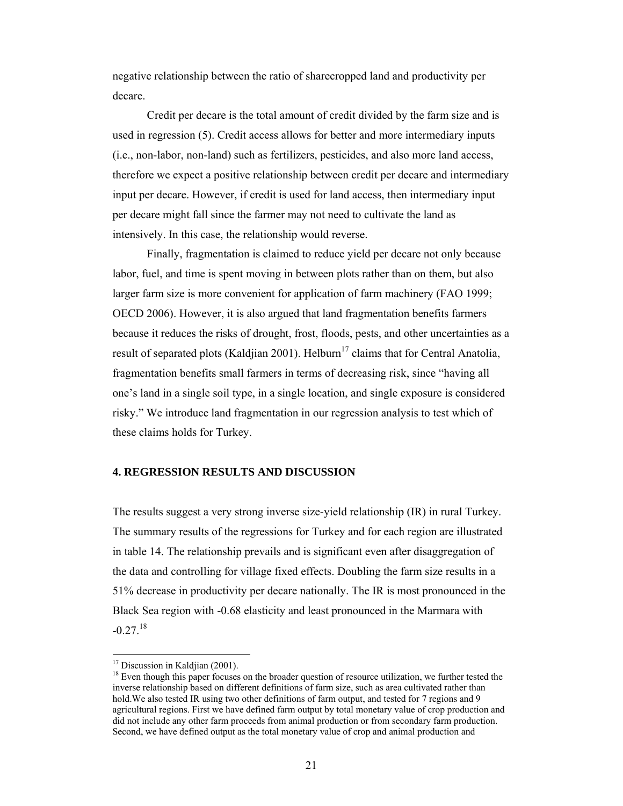negative relationship between the ratio of sharecropped land and productivity per decare.

Credit per decare is the total amount of credit divided by the farm size and is used in regression (5). Credit access allows for better and more intermediary inputs (i.e., non-labor, non-land) such as fertilizers, pesticides, and also more land access, therefore we expect a positive relationship between credit per decare and intermediary input per decare. However, if credit is used for land access, then intermediary input per decare might fall since the farmer may not need to cultivate the land as intensively. In this case, the relationship would reverse.

Finally, fragmentation is claimed to reduce yield per decare not only because labor, fuel, and time is spent moving in between plots rather than on them, but also larger farm size is more convenient for application of farm machinery (FAO 1999; OECD 2006). However, it is also argued that land fragmentation benefits farmers because it reduces the risks of drought, frost, floods, pests, and other uncertainties as a result of separated plots (Kaldjian 2001). Helburn<sup>17</sup> claims that for Central Anatolia, fragmentation benefits small farmers in terms of decreasing risk, since "having all one's land in a single soil type, in a single location, and single exposure is considered risky." We introduce land fragmentation in our regression analysis to test which of these claims holds for Turkey.

#### **4. REGRESSION RESULTS AND DISCUSSION**

The results suggest a very strong inverse size-yield relationship (IR) in rural Turkey. The summary results of the regressions for Turkey and for each region are illustrated in table 14. The relationship prevails and is significant even after disaggregation of the data and controlling for village fixed effects. Doubling the farm size results in a 51% decrease in productivity per decare nationally. The IR is most pronounced in the Black Sea region with -0.68 elasticity and least pronounced in the Marmara with  $-0.27$ <sup>18</sup>

 $17$  Discussion in Kaldiian (2001).

<sup>&</sup>lt;sup>18</sup> Even though this paper focuses on the broader question of resource utilization, we further tested the inverse relationship based on different definitions of farm size, such as area cultivated rather than hold. We also tested IR using two other definitions of farm output, and tested for 7 regions and 9 agricultural regions. First we have defined farm output by total monetary value of crop production and did not include any other farm proceeds from animal production or from secondary farm production. Second, we have defined output as the total monetary value of crop and animal production and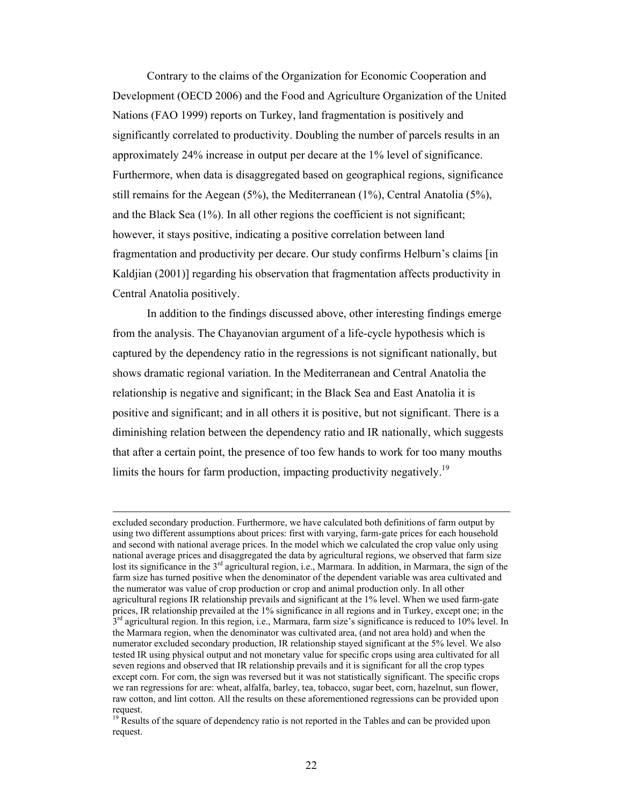Contrary to the claims of the Organization for Economic Cooperation and Development (OECD 2006) and the Food and Agriculture Organization of the United Nations (FAO 1999) reports on Turkey, land fragmentation is positively and significantly correlated to productivity. Doubling the number of parcels results in an approximately 24% increase in output per decare at the 1% level of significance. Furthermore, when data is disaggregated based on geographical regions, significance still remains for the Aegean (5%), the Mediterranean (1%), Central Anatolia (5%), and the Black Sea (1%). In all other regions the coefficient is not significant; however, it stays positive, indicating a positive correlation between land fragmentation and productivity per decare. Our study confirms Helburn's claims [in Kaldjian (2001)] regarding his observation that fragmentation affects productivity in Central Anatolia positively.

In addition to the findings discussed above, other interesting findings emerge from the analysis. The Chayanovian argument of a life-cycle hypothesis which is captured by the dependency ratio in the regressions is not significant nationally, but shows dramatic regional variation. In the Mediterranean and Central Anatolia the relationship is negative and significant; in the Black Sea and East Anatolia it is positive and significant; and in all others it is positive, but not significant. There is a diminishing relation between the dependency ratio and IR nationally, which suggests that after a certain point, the presence of too few hands to work for too many mouths limits the hours for farm production, impacting productivity negatively.<sup>19</sup>

excluded secondary production. Furthermore, we have calculated both definitions of farm output by using two different assumptions about prices: first with varying, farm-gate prices for each household and second with national average prices. In the model which we calculated the crop value only using national average prices and disaggregated the data by agricultural regions, we observed that farm size lost its significance in the 3<sup>rd</sup> agricultural region, i.e., Marmara. In addition, in Marmara, the sign of the farm size has turned positive when the denominator of the dependent variable was area cultivated and the numerator was value of crop production or crop and animal production only. In all other agricultural regions IR relationship prevails and significant at the 1% level. When we used farm-gate prices, IR relationship prevailed at the 1% significance in all regions and in Turkey, except one; in the  $3<sup>rd</sup>$  agricultural region. In this region, i.e., Marmara, farm size's significance is reduced to 10% level. In the Marmara region, when the denominator was cultivated area, (and not area hold) and when the numerator excluded secondary production, IR relationship stayed significant at the 5% level. We also tested IR using physical output and not monetary value for specific crops using area cultivated for all seven regions and observed that IR relationship prevails and it is significant for all the crop types except corn. For corn, the sign was reversed but it was not statistically significant. The specific crops we ran regressions for are: wheat, alfalfa, barley, tea, tobacco, sugar beet, corn, hazelnut, sun flower, raw cotton, and lint cotton. All the results on these aforementioned regressions can be provided upon request.

 $19$  Results of the square of dependency ratio is not reported in the Tables and can be provided upon request.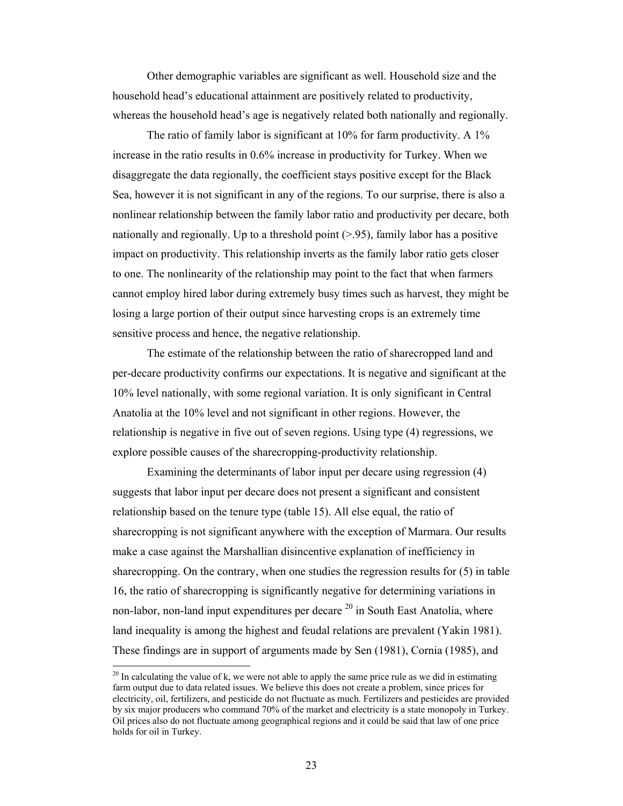Other demographic variables are significant as well. Household size and the household head's educational attainment are positively related to productivity, whereas the household head's age is negatively related both nationally and regionally.

The ratio of family labor is significant at 10% for farm productivity. A 1% increase in the ratio results in 0.6% increase in productivity for Turkey. When we disaggregate the data regionally, the coefficient stays positive except for the Black Sea, however it is not significant in any of the regions. To our surprise, there is also a nonlinear relationship between the family labor ratio and productivity per decare, both nationally and regionally. Up to a threshold point  $(> 95)$ , family labor has a positive impact on productivity. This relationship inverts as the family labor ratio gets closer to one. The nonlinearity of the relationship may point to the fact that when farmers cannot employ hired labor during extremely busy times such as harvest, they might be losing a large portion of their output since harvesting crops is an extremely time sensitive process and hence, the negative relationship.

The estimate of the relationship between the ratio of sharecropped land and per-decare productivity confirms our expectations. It is negative and significant at the 10% level nationally, with some regional variation. It is only significant in Central Anatolia at the 10% level and not significant in other regions. However, the relationship is negative in five out of seven regions. Using type (4) regressions, we explore possible causes of the sharecropping-productivity relationship.

Examining the determinants of labor input per decare using regression (4) suggests that labor input per decare does not present a significant and consistent relationship based on the tenure type (table 15). All else equal, the ratio of sharecropping is not significant anywhere with the exception of Marmara. Our results make a case against the Marshallian disincentive explanation of inefficiency in sharecropping. On the contrary, when one studies the regression results for (5) in table 16, the ratio of sharecropping is significantly negative for determining variations in non-labor, non-land input expenditures per decare  $^{20}$  in South East Anatolia, where land inequality is among the highest and feudal relations are prevalent (Yakin 1981). These findings are in support of arguments made by Sen (1981), Cornia (1985), and

 $20$  In calculating the value of k, we were not able to apply the same price rule as we did in estimating farm output due to data related issues. We believe this does not create a problem, since prices for electricity, oil, fertilizers, and pesticide do not fluctuate as much. Fertilizers and pesticides are provided by six major producers who command 70% of the market and electricity is a state monopoly in Turkey. Oil prices also do not fluctuate among geographical regions and it could be said that law of one price holds for oil in Turkey.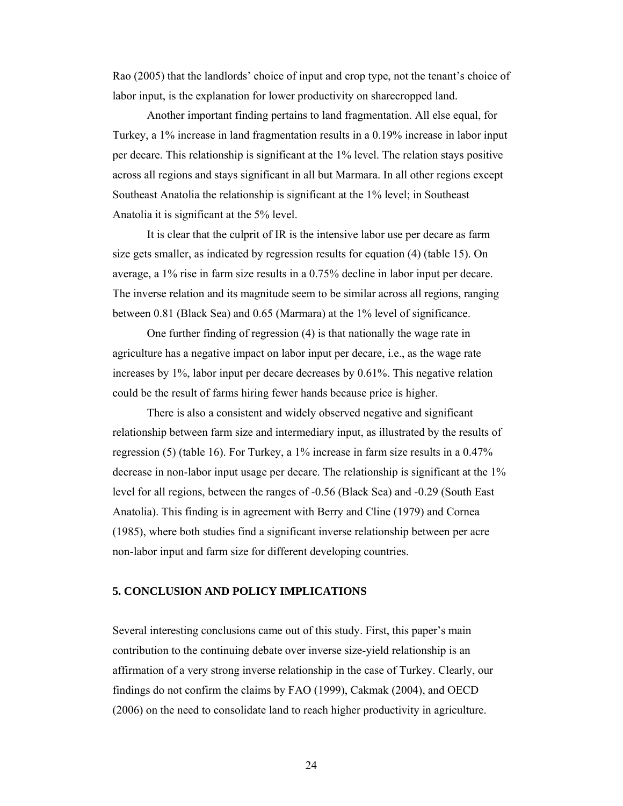Rao (2005) that the landlords' choice of input and crop type, not the tenant's choice of labor input, is the explanation for lower productivity on sharecropped land.

Another important finding pertains to land fragmentation. All else equal, for Turkey, a 1% increase in land fragmentation results in a 0.19% increase in labor input per decare. This relationship is significant at the 1% level. The relation stays positive across all regions and stays significant in all but Marmara. In all other regions except Southeast Anatolia the relationship is significant at the 1% level; in Southeast Anatolia it is significant at the 5% level.

It is clear that the culprit of IR is the intensive labor use per decare as farm size gets smaller, as indicated by regression results for equation (4) (table 15). On average, a 1% rise in farm size results in a 0.75% decline in labor input per decare. The inverse relation and its magnitude seem to be similar across all regions, ranging between 0.81 (Black Sea) and 0.65 (Marmara) at the 1% level of significance.

One further finding of regression (4) is that nationally the wage rate in agriculture has a negative impact on labor input per decare, i.e., as the wage rate increases by 1%, labor input per decare decreases by 0.61%. This negative relation could be the result of farms hiring fewer hands because price is higher.

There is also a consistent and widely observed negative and significant relationship between farm size and intermediary input, as illustrated by the results of regression (5) (table 16). For Turkey, a 1% increase in farm size results in a 0.47% decrease in non-labor input usage per decare. The relationship is significant at the 1% level for all regions, between the ranges of -0.56 (Black Sea) and -0.29 (South East Anatolia). This finding is in agreement with Berry and Cline (1979) and Cornea (1985), where both studies find a significant inverse relationship between per acre non-labor input and farm size for different developing countries.

#### **5. CONCLUSION AND POLICY IMPLICATIONS**

Several interesting conclusions came out of this study. First, this paper's main contribution to the continuing debate over inverse size-yield relationship is an affirmation of a very strong inverse relationship in the case of Turkey. Clearly, our findings do not confirm the claims by FAO (1999), Cakmak (2004), and OECD (2006) on the need to consolidate land to reach higher productivity in agriculture.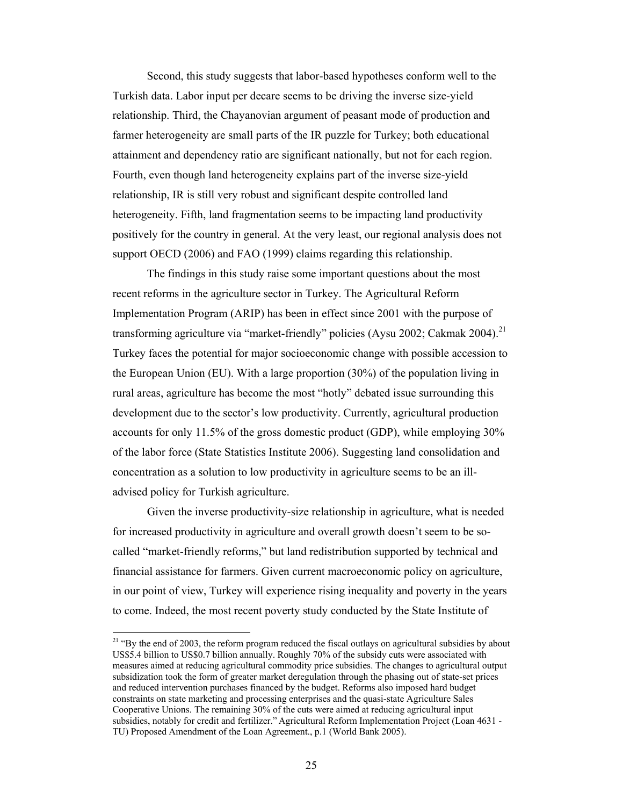Second, this study suggests that labor-based hypotheses conform well to the Turkish data. Labor input per decare seems to be driving the inverse size-yield relationship. Third, the Chayanovian argument of peasant mode of production and farmer heterogeneity are small parts of the IR puzzle for Turkey; both educational attainment and dependency ratio are significant nationally, but not for each region. Fourth, even though land heterogeneity explains part of the inverse size-yield relationship, IR is still very robust and significant despite controlled land heterogeneity. Fifth, land fragmentation seems to be impacting land productivity positively for the country in general. At the very least, our regional analysis does not support OECD (2006) and FAO (1999) claims regarding this relationship.

The findings in this study raise some important questions about the most recent reforms in the agriculture sector in Turkey. The Agricultural Reform Implementation Program (ARIP) has been in effect since 2001 with the purpose of transforming agriculture via "market-friendly" policies (Aysu 2002; Cakmak 2004).<sup>21</sup> Turkey faces the potential for major socioeconomic change with possible accession to the European Union (EU). With a large proportion (30%) of the population living in rural areas, agriculture has become the most "hotly" debated issue surrounding this development due to the sector's low productivity. Currently, agricultural production accounts for only 11.5% of the gross domestic product (GDP), while employing 30% of the labor force (State Statistics Institute 2006). Suggesting land consolidation and concentration as a solution to low productivity in agriculture seems to be an illadvised policy for Turkish agriculture.

Given the inverse productivity-size relationship in agriculture, what is needed for increased productivity in agriculture and overall growth doesn't seem to be socalled "market-friendly reforms," but land redistribution supported by technical and financial assistance for farmers. Given current macroeconomic policy on agriculture, in our point of view, Turkey will experience rising inequality and poverty in the years to come. Indeed, the most recent poverty study conducted by the State Institute of

<sup>&</sup>lt;sup>21</sup> "By the end of 2003, the reform program reduced the fiscal outlays on agricultural subsidies by about US\$5.4 billion to US\$0.7 billion annually. Roughly 70% of the subsidy cuts were associated with measures aimed at reducing agricultural commodity price subsidies. The changes to agricultural output subsidization took the form of greater market deregulation through the phasing out of state-set prices and reduced intervention purchases financed by the budget. Reforms also imposed hard budget constraints on state marketing and processing enterprises and the quasi-state Agriculture Sales Cooperative Unions. The remaining 30% of the cuts were aimed at reducing agricultural input subsidies, notably for credit and fertilizer." Agricultural Reform Implementation Project (Loan 4631 - TU) Proposed Amendment of the Loan Agreement., p.1 (World Bank 2005).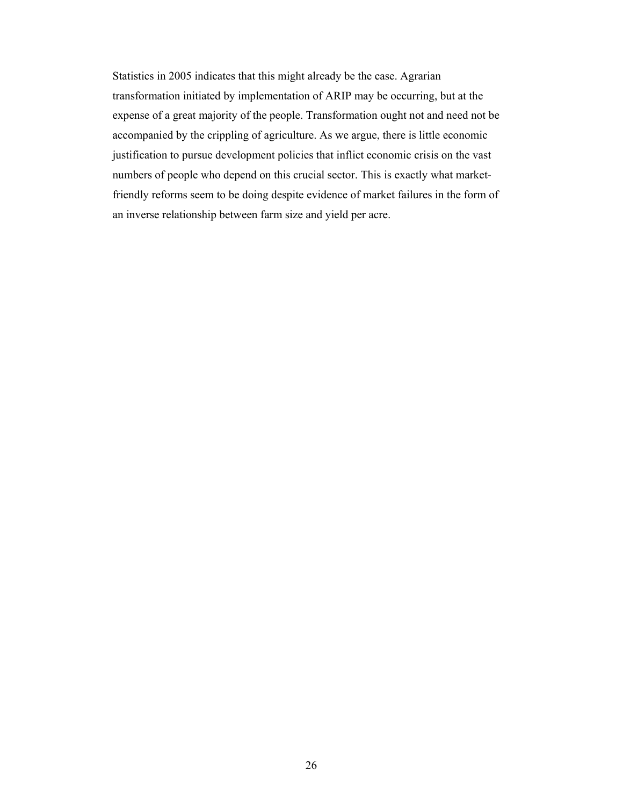Statistics in 2005 indicates that this might already be the case. Agrarian transformation initiated by implementation of ARIP may be occurring, but at the expense of a great majority of the people. Transformation ought not and need not be accompanied by the crippling of agriculture. As we argue, there is little economic justification to pursue development policies that inflict economic crisis on the vast numbers of people who depend on this crucial sector. This is exactly what marketfriendly reforms seem to be doing despite evidence of market failures in the form of an inverse relationship between farm size and yield per acre.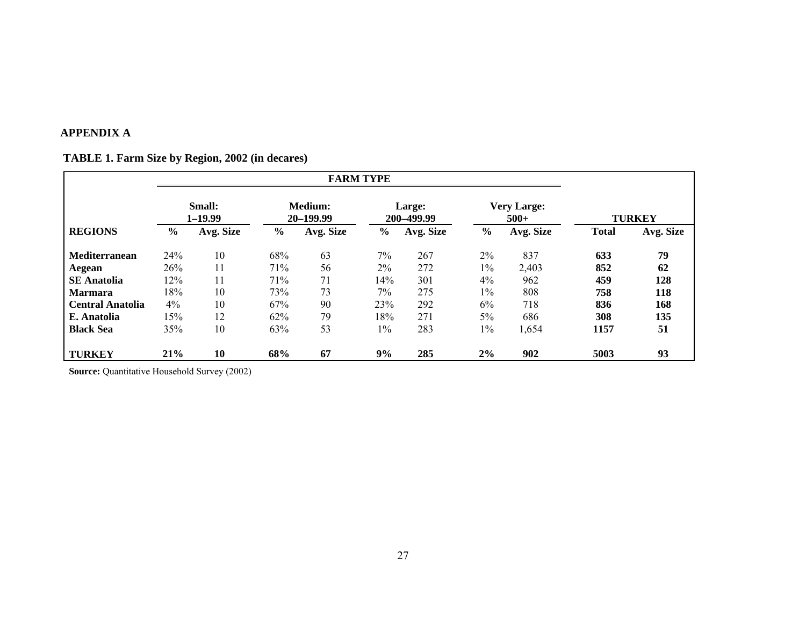#### **APPENDIX A**

# **TABLE 1. Farm Size by Region, 2002 (in decares)**

|                         | <b>FARM TYPE</b> |                              |                      |           |                      |           |                              |           |               |           |
|-------------------------|------------------|------------------------------|----------------------|-----------|----------------------|-----------|------------------------------|-----------|---------------|-----------|
|                         |                  | <b>Small:</b><br>$1 - 19.99$ | Medium:<br>20-199.99 |           | Large:<br>200-499.99 |           | <b>Very Large:</b><br>$500+$ |           | <b>TURKEY</b> |           |
| <b>REGIONS</b>          | $\frac{0}{0}$    | Avg. Size                    | $\frac{6}{6}$        | Avg. Size | $\frac{0}{0}$        | Avg. Size | $\frac{6}{10}$               | Avg. Size | <b>Total</b>  | Avg. Size |
| <b>Mediterranean</b>    | 24%              | 10                           | 68%                  | 63        | 7%                   | 267       | $2\%$                        | 837       | 633           | 79        |
| Aegean                  | 26%              | 11                           | 71%                  | 56        | $2\%$                | 272       | $1\%$                        | 2,403     | 852           | 62        |
| <b>SE</b> Anatolia      | 12%              | 11                           | 71%                  | 71        | 14%                  | 301       | 4%                           | 962       | 459           | 128       |
| <b>Marmara</b>          | 18%              | 10                           | 73%                  | 73        | 7%                   | 275       | $1\%$                        | 808       | 758           | 118       |
| <b>Central Anatolia</b> | $4\%$            | 10                           | 67%                  | 90        | 23%                  | 292       | 6%                           | 718       | 836           | 168       |
| E. Anatolia             | 15%              | 12                           | 62%                  | 79        | 18%                  | 271       | 5%                           | 686       | 308           | 135       |
| <b>Black Sea</b>        | 35%              | 10                           | 63%                  | 53        | $1\%$                | 283       | $1\%$                        | 1,654     | 1157          | 51        |
| <b>TURKEY</b>           | 21%              | 10                           | 68%                  | 67        | 9%                   | 285       | 2%                           | 902       | 5003          | 93        |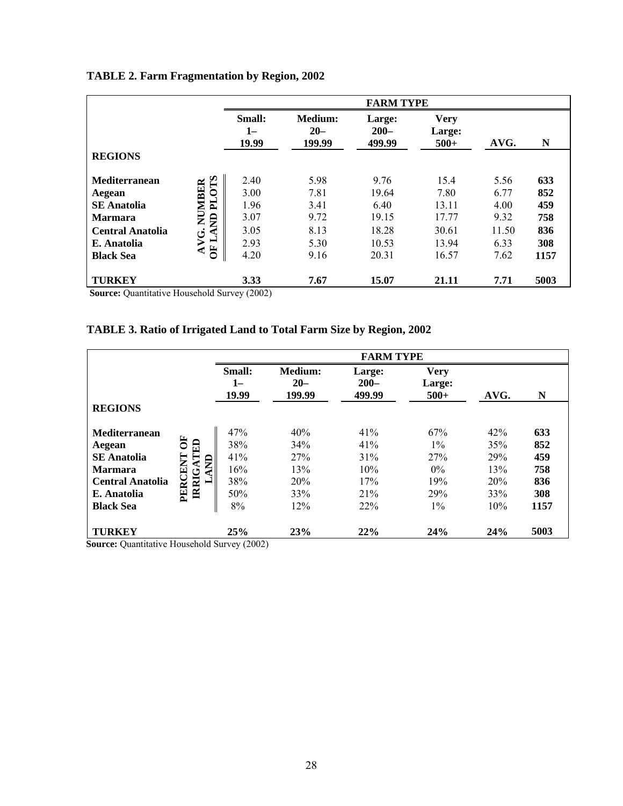# **TABLE 2. Farm Fragmentation by Region, 2002**

|                         |                          |                         |                             | <b>FARM TYPE</b>            |                                 |       |      |
|-------------------------|--------------------------|-------------------------|-----------------------------|-----------------------------|---------------------------------|-------|------|
|                         |                          | Small:<br>$1-$<br>19.99 | Medium:<br>$20 -$<br>199.99 | Large:<br>$200 -$<br>499.99 | <b>Very</b><br>Large:<br>$500+$ | AVG.  | N    |
| <b>REGIONS</b>          |                          |                         |                             |                             |                                 |       |      |
| <b>Mediterranean</b>    | <b>OTS</b>               | 2.40                    | 5.98                        | 9.76                        | 15.4                            | 5.56  | 633  |
| Aegean                  |                          | 3.00                    | 7.81                        | 19.64                       | 7.80                            | 6.77  | 852  |
| <b>SE</b> Anatolia      | $\mathbf{E}$             | 1.96                    | 3.41                        | 6.40                        | 13.11                           | 4.00  | 459  |
| <b>Marmara</b>          | NUMBER                   | 3.07                    | 9.72                        | 19.15                       | 17.77                           | 9.32  | 758  |
| <b>Central Anatolia</b> | AND<br>Š.                | 3.05                    | 8.13                        | 18.28                       | 30.61                           | 11.50 | 836  |
| E. Anatolia             | $\overline{\phantom{a}}$ | 2.93                    | 5.30                        | 10.53                       | 13.94                           | 6.33  | 308  |
| <b>Black Sea</b>        | $\overline{\mathbf{C}}$  | 4.20                    | 9.16                        | 20.31                       | 16.57                           | 7.62  | 1157 |
| <b>TURKEY</b>           |                          | 3.33                    | 7.67                        | 15.07                       | 21.11                           | 7.71  | 5003 |

**Source:** Quantitative Household Survey (2002)

### **TABLE 3. Ratio of Irrigated Land to Total Farm Size by Region, 2002**

|                         |                          |                         |                                    | <b>FARM TYPE</b>            |                                 |      |      |
|-------------------------|--------------------------|-------------------------|------------------------------------|-----------------------------|---------------------------------|------|------|
|                         |                          | Small:<br>$1-$<br>19.99 | <b>Medium:</b><br>$20 -$<br>199.99 | Large:<br>$200 -$<br>499.99 | <b>Very</b><br>Large:<br>$500+$ | AVG. | N    |
| <b>REGIONS</b>          |                          |                         |                                    |                             |                                 |      |      |
| Mediterranean           |                          | 47%                     | 40%                                | 41%                         | 67%                             | 42%  | 633  |
| Aegean                  | ð<br>TED                 | 38%                     | 34%                                | 41%                         | $1\%$                           | 35%  | 852  |
| <b>SE Anatolia</b>      |                          | 41%                     | 27%                                | 31%                         | 27%                             | 29%  | 459  |
| <b>Marmara</b>          | $\mathbf{g}_{\parallel}$ | 16%                     | 13%                                | 10%                         | $0\%$                           | 13%  | 758  |
| <b>Central Anatolia</b> |                          | 38%                     | 20%                                | 17%                         | 19%                             | 20%  | 836  |
| E. Anatolia             | PERCENT<br>IRRIGA        | 50%                     | 33%                                | 21%                         | 29%                             | 33%  | 308  |
| <b>Black Sea</b>        |                          | 8%                      | 12%                                | 22%                         | $1\%$                           | 10%  | 1157 |
| <b>TURKEY</b>           |                          | 25%                     | 23%                                | 22%                         | 24%                             | 24%  | 5003 |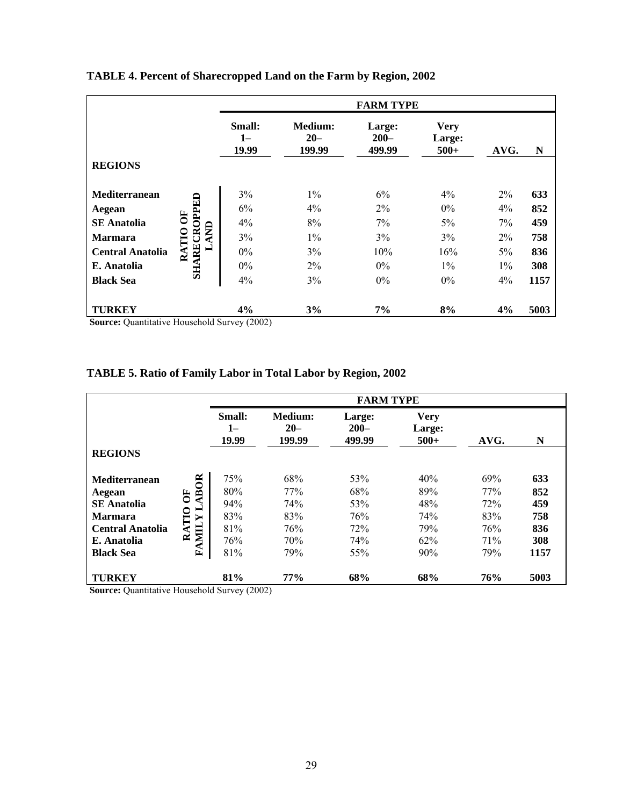|                                                                                                                                                                                                                                                                                                                                                                                                                                           |                                |                             | <b>FARM TYPE</b>            |                                 |       |      |
|-------------------------------------------------------------------------------------------------------------------------------------------------------------------------------------------------------------------------------------------------------------------------------------------------------------------------------------------------------------------------------------------------------------------------------------------|--------------------------------|-----------------------------|-----------------------------|---------------------------------|-------|------|
|                                                                                                                                                                                                                                                                                                                                                                                                                                           | <b>Small:</b><br>$1-$<br>19.99 | Medium:<br>$20 -$<br>199.99 | Large:<br>$200 -$<br>499.99 | <b>Very</b><br>Large:<br>$500+$ | AVG.  | N    |
| <b>REGIONS</b>                                                                                                                                                                                                                                                                                                                                                                                                                            |                                |                             |                             |                                 |       |      |
| Mediterranean                                                                                                                                                                                                                                                                                                                                                                                                                             | 3%                             | $1\%$                       | $6\%$                       | $4\%$                           | $2\%$ | 633  |
| Aegean                                                                                                                                                                                                                                                                                                                                                                                                                                    | 6%                             | 4%                          | 2%                          | $0\%$                           | $4\%$ | 852  |
| ð<br><b>SE</b> Anatolia                                                                                                                                                                                                                                                                                                                                                                                                                   | 4%                             | 8%                          | 7%                          | 5%                              | $7\%$ | 459  |
| <b>AND</b><br><b>Marmara</b>                                                                                                                                                                                                                                                                                                                                                                                                              | 3%                             | $1\%$                       | 3%                          | 3%                              | 2%    | 758  |
| SHARECROPPED<br>RATIO<br>一<br><b>Central Anatolia</b>                                                                                                                                                                                                                                                                                                                                                                                     | $0\%$                          | 3%                          | 10%                         | 16%                             | $5\%$ | 836  |
| E. Anatolia                                                                                                                                                                                                                                                                                                                                                                                                                               | $0\%$                          | 2%                          | $0\%$                       | $1\%$                           | $1\%$ | 308  |
| <b>Black Sea</b>                                                                                                                                                                                                                                                                                                                                                                                                                          | 4%                             | 3%                          | $0\%$                       | $0\%$                           | 4%    | 1157 |
| <b>TURKEY</b><br>$C_1, \ldots, C_n, \ldots, C_n, \ldots, C_n, \ldots, C_n, \ldots, C_n, \ldots, C_n, \ldots, C_n, \ldots, C_n, \ldots, C_n, \ldots, C_n, \ldots, C_n, \ldots, C_n, \ldots, C_n, \ldots, C_n, \ldots, C_n, \ldots, C_n, \ldots, C_n, \ldots, C_n, \ldots, C_n, \ldots, C_n, \ldots, C_n, \ldots, C_n, \ldots, C_n, \ldots, C_n, \ldots, C_n, \ldots, C_n, \ldots, C_n, \ldots, C_n, \ldots, C_n, \ldots, C_n, \ldots, C_n$ | 4%                             | 3%                          | 7%                          | 8%                              | 4%    | 5003 |

### **TABLE 4. Percent of Sharecropped Land on the Farm by Region, 2002**

**Source:** Quantitative Household Survey (2002)

# **TABLE 5. Ratio of Family Labor in Total Labor by Region, 2002**

|                                                                                                                                                  |                        |                         |                             | <b>FARM TYPE</b>            |                                 |      |      |
|--------------------------------------------------------------------------------------------------------------------------------------------------|------------------------|-------------------------|-----------------------------|-----------------------------|---------------------------------|------|------|
|                                                                                                                                                  |                        | Small:<br>$1-$<br>19.99 | Medium:<br>$20 -$<br>199.99 | Large:<br>$200 -$<br>499.99 | <b>Very</b><br>Large:<br>$500+$ | AVG. | N    |
| <b>REGIONS</b>                                                                                                                                   |                        |                         |                             |                             |                                 |      |      |
| <b>Mediterranean</b>                                                                                                                             | <b>BOR</b>             | 75%                     | 68%                         | 53%                         | 40%                             | 69%  | 633  |
| Aegean                                                                                                                                           | ð                      | 80%                     | 77%                         | 68%                         | 89%                             | 77%  | 852  |
| <b>SE Anatolia</b>                                                                                                                               |                        | 94%                     | 74%                         | 53%                         | 48%                             | 72%  | 459  |
| <b>Marmara</b>                                                                                                                                   | ⊣                      | 83%                     | 83%                         | 76%                         | 74%                             | 83%  | 758  |
| <b>Central Anatolia</b>                                                                                                                          | RATIO<br><b>FAMILY</b> | 81%                     | 76%                         | 72%                         | 79%                             | 76%  | 836  |
| E. Anatolia                                                                                                                                      |                        | 76%                     | 70%                         | 74%                         | 62%                             | 71%  | 308  |
| <b>Black Sea</b>                                                                                                                                 |                        | 81%                     | 79%                         | 55%                         | 90%                             | 79%  | 1157 |
| <b>TURKEY</b><br>$\mathbf{r}$ , $\mathbf{r}$ , $\mathbf{r}$ , $\mathbf{r}$ , $\mathbf{r}$ , $\mathbf{r}$ , $\mathbf{r}$ , $\mathbf{r}$<br>$\sim$ | 1.1.0                  | 81%<br>(0.002)          | 77%                         | 68%                         | 68%                             | 76%  | 5003 |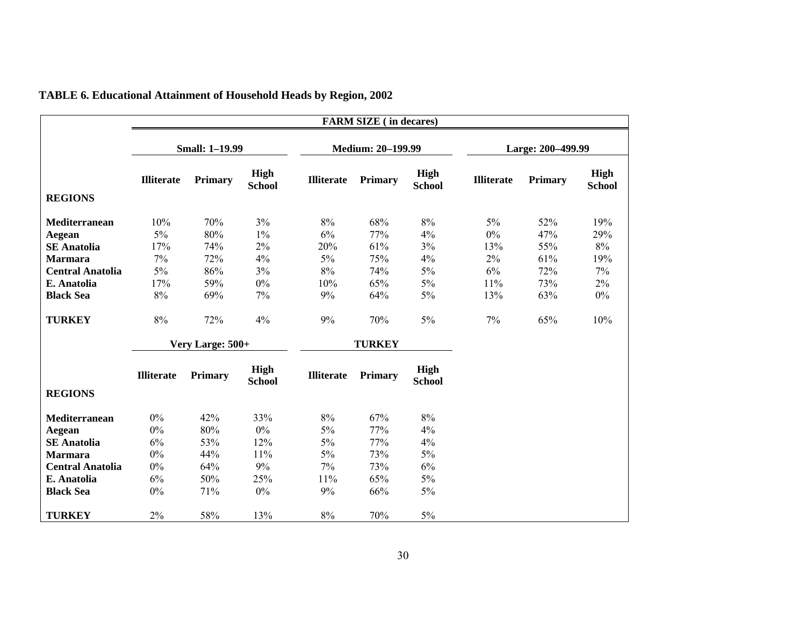|                         |                   |                       |                              |                   | <b>FARM SIZE</b> (in decares) |                       |                   |                   |                       |
|-------------------------|-------------------|-----------------------|------------------------------|-------------------|-------------------------------|-----------------------|-------------------|-------------------|-----------------------|
|                         |                   | <b>Small: 1-19.99</b> |                              |                   | Medium: 20-199.99             |                       |                   | Large: 200-499.99 |                       |
|                         | <b>Illiterate</b> | <b>Primary</b>        | High<br><b>School</b>        | <b>Illiterate</b> | Primary                       | High<br><b>School</b> | <b>Illiterate</b> | <b>Primary</b>    | High<br><b>School</b> |
| <b>REGIONS</b>          |                   |                       |                              |                   |                               |                       |                   |                   |                       |
| Mediterranean           | 10%               | 70%                   | 3%                           | 8%                | 68%                           | 8%                    | $5\%$             | 52%               | 19%                   |
| Aegean                  | 5%                | 80%                   | $1\%$                        | 6%                | 77%                           | 4%                    | $0\%$             | 47%               | 29%                   |
| <b>SE Anatolia</b>      | 17%               | 74%                   | 2%                           | 20%               | 61%                           | 3%                    | 13%               | 55%               | $8\%$                 |
| <b>Marmara</b>          | 7%                | 72%                   | 4%                           | 5%                | 75%                           | 4%                    | $2\%$             | 61%               | 19%                   |
| <b>Central Anatolia</b> | 5%                | 86%                   | 3%                           | $8\%$             | 74%                           | 5%                    | 6%                | 72%               | 7%                    |
| E. Anatolia             | 17%               | 59%                   | $0\%$                        | 10%               | 65%                           | 5%                    | 11%               | 73%               | $2\%$                 |
| <b>Black Sea</b>        | 8%                | 69%                   | 7%                           | 9%                | 64%                           | 5%                    | 13%               | 63%               | $0\%$                 |
| <b>TURKEY</b>           | 8%                | 72%                   | 4%                           | 9%                | 70%                           | 5%                    | 7%                | 65%               | 10%                   |
|                         |                   | Very Large: 500+      |                              |                   | <b>TURKEY</b>                 |                       |                   |                   |                       |
|                         | <b>Illiterate</b> | <b>Primary</b>        | <b>High</b><br><b>School</b> | <b>Illiterate</b> | <b>Primary</b>                | High<br><b>School</b> |                   |                   |                       |
| <b>REGIONS</b>          |                   |                       |                              |                   |                               |                       |                   |                   |                       |
| Mediterranean           | $0\%$             | 42%                   | 33%                          | $8\%$             | 67%                           | 8%                    |                   |                   |                       |
| Aegean                  | $0\%$             | 80%                   | $0\%$                        | 5%                | 77%                           | 4%                    |                   |                   |                       |
| <b>SE</b> Anatolia      | 6%                | 53%                   | 12%                          | $5\%$             | 77%                           | 4%                    |                   |                   |                       |
| <b>Marmara</b>          | $0\%$             | 44%                   | 11%                          | 5%                | 73%                           | 5%                    |                   |                   |                       |
| <b>Central Anatolia</b> | $0\%$             | 64%                   | 9%                           | 7%                | 73%                           | 6%                    |                   |                   |                       |
| E. Anatolia             | 6%                | 50%                   | 25%                          | 11%               | 65%                           | 5%                    |                   |                   |                       |
| <b>Black Sea</b>        | $0\%$             | 71%                   | $0\%$                        | 9%                | 66%                           | 5%                    |                   |                   |                       |
| <b>TURKEY</b>           | 2%                | 58%                   | 13%                          | 8%                | 70%                           | 5%                    |                   |                   |                       |

# **TABLE 6. Educational Attainment of Household Heads by Region, 2002**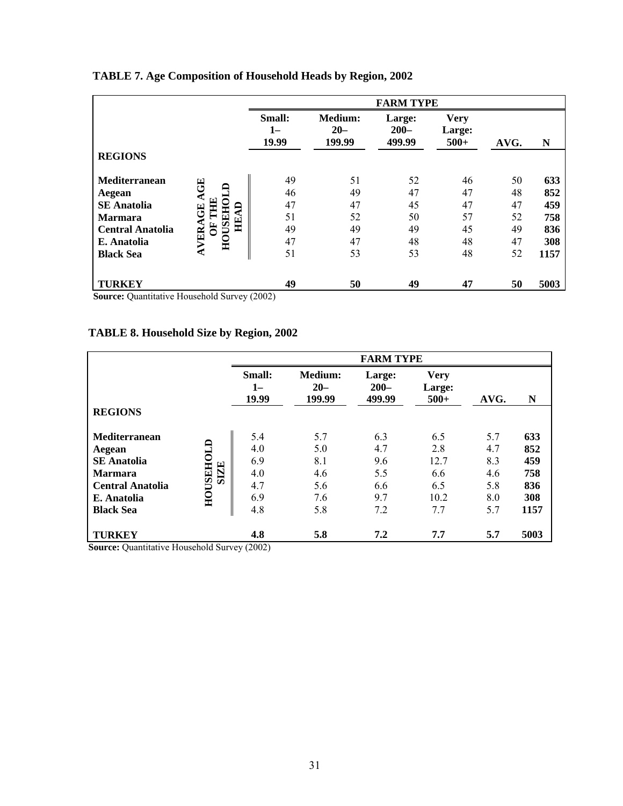### **TABLE 7. Age Composition of Household Heads by Region, 2002**

|                                           |                           |                         |                                    | <b>FARM TYPE</b>            |                                 |          |             |
|-------------------------------------------|---------------------------|-------------------------|------------------------------------|-----------------------------|---------------------------------|----------|-------------|
|                                           |                           | Small:<br>$1-$<br>19.99 | <b>Medium:</b><br>$20 -$<br>199.99 | Large:<br>$200 -$<br>499.99 | <b>Very</b><br>Large:<br>$500+$ | AVG.     | N           |
| <b>REGIONS</b>                            |                           |                         |                                    |                             |                                 |          |             |
| Mediterranean                             | 岊                         | 49<br>46                | 51<br>49                           | 52<br>47                    | 46<br>47                        | 50<br>48 | 633<br>852  |
| Aegean<br><b>SE</b> Anatolia              | EHOLD<br>THE<br>5         | 47                      | 47                                 | 45                          | 47                              | 47       | 459         |
| <b>Marmara</b><br><b>Central Anatolia</b> | HEAD<br>HOUS<br>VERA<br>5 | 51<br>49                | 52<br>49                           | 50<br>49                    | 57<br>45                        | 52<br>49 | 758<br>836  |
| E. Anatolia<br><b>Black Sea</b>           | ⋜                         | 47<br>51                | 47<br>53                           | 48<br>53                    | 48<br>48                        | 47<br>52 | 308<br>1157 |
| <b>TURKEY</b>                             |                           | 49                      | 50                                 | 49                          | 47                              | 50       | 5003        |

 **Source:** Quantitative Household Survey (2002)

# **TABLE 8. Household Size by Region, 2002**

|                                                                                                           |                          |                                        |                                        | <b>FARM TYPE</b>                       |                                          |                                        |                                        |
|-----------------------------------------------------------------------------------------------------------|--------------------------|----------------------------------------|----------------------------------------|----------------------------------------|------------------------------------------|----------------------------------------|----------------------------------------|
|                                                                                                           |                          | Small:<br>$1-$<br>19.99                | <b>Medium:</b><br>$20 -$<br>199.99     | Large:<br>$200 -$<br>499.99            | <b>Very</b><br>Large:<br>$500+$          | AVG.                                   | N                                      |
| <b>REGIONS</b>                                                                                            |                          |                                        |                                        |                                        |                                          |                                        |                                        |
| Mediterranean<br>Aegean<br><b>SE</b> Anatolia<br><b>Marmara</b><br><b>Central Anatolia</b><br>E. Anatolia | HOUSEHOLD<br><b>SIZE</b> | 5.4<br>4.0<br>6.9<br>4.0<br>4.7<br>6.9 | 5.7<br>5.0<br>8.1<br>4.6<br>5.6<br>7.6 | 6.3<br>4.7<br>9.6<br>5.5<br>6.6<br>9.7 | 6.5<br>2.8<br>12.7<br>6.6<br>6.5<br>10.2 | 5.7<br>4.7<br>8.3<br>4.6<br>5.8<br>8.0 | 633<br>852<br>459<br>758<br>836<br>308 |
| <b>Black Sea</b>                                                                                          |                          | 4.8                                    | 5.8                                    | 7.2                                    | 7.7                                      | 5.7                                    | 1157                                   |
| <b>TURKEY</b><br>Source: Quantitative Household Survey (2002)                                             |                          | 4.8                                    | 5.8                                    | 7.2                                    | 7.7                                      | 5.7                                    | 5003                                   |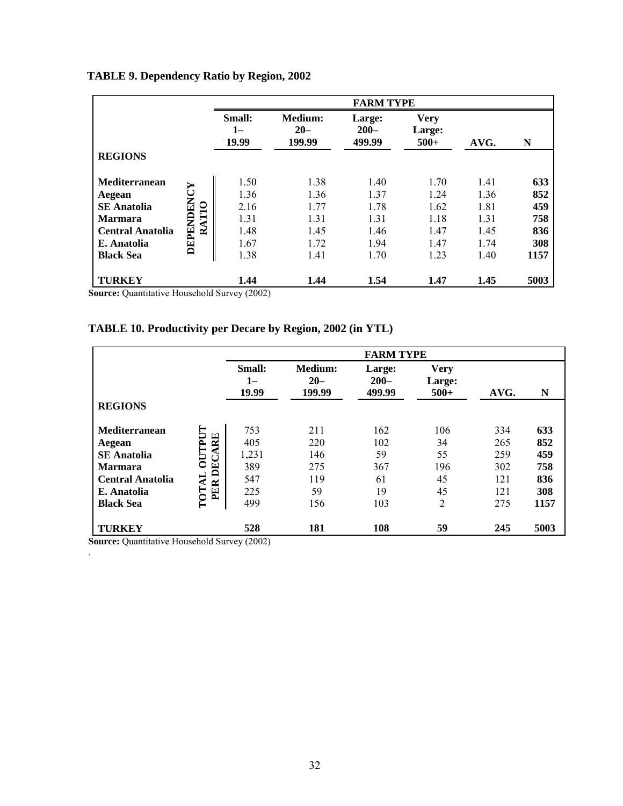### **TABLE 9. Dependency Ratio by Region, 2002**

|                         |               |                                            |                                    | <b>FARM TYPE</b>            |                                 |      |      |
|-------------------------|---------------|--------------------------------------------|------------------------------------|-----------------------------|---------------------------------|------|------|
|                         |               | Small:<br>$1-$<br>19.99                    | <b>Medium:</b><br>$20 -$<br>199.99 | Large:<br>$200 -$<br>499.99 | <b>Very</b><br>Large:<br>$500+$ | AVG. | N    |
| <b>REGIONS</b>          |               |                                            |                                    |                             |                                 |      |      |
| <b>Mediterranean</b>    |               | 1.50                                       | 1.38                               | 1.40                        | 1.70                            | 1.41 | 633  |
| Aegean                  |               | 1.36                                       | 1.36                               | 1.37                        | 1.24                            | 1.36 | 852  |
| <b>SE</b> Anatolia      |               | 2.16                                       | 1.77                               | 1.78                        | 1.62                            | 1.81 | 459  |
| <b>Marmara</b>          | RATIO         | 1.31                                       | 1.31                               | 1.31                        | 1.18                            | 1.31 | 758  |
| <b>Central Anatolia</b> | DEPENDEN      | 1.48                                       | 1.45                               | 1.46                        | 1.47                            | 1.45 | 836  |
| E. Anatolia             |               | 1.67                                       | 1.72                               | 1.94                        | 1.47                            | 1.74 | 308  |
| <b>Black Sea</b>        |               | 1.38                                       | 1.41                               | 1.70                        | 1.23                            | 1.40 | 1157 |
| <b>TURKEY</b><br>$\sim$ | $\sim$ $\sim$ | 1.44<br>$\sim$ $\sim$ $\sim$ $\sim$ $\sim$ | 1.44                               | 1.54                        | 1.47                            | 1.45 | 5003 |

**Source:** Quantitative Household Survey (2002)

# **TABLE 10. Productivity per Decare by Region, 2002 (in YTL)**

|                                                              |               |                         |                             | <b>FARM TYPE</b>            |                                 |      |      |
|--------------------------------------------------------------|---------------|-------------------------|-----------------------------|-----------------------------|---------------------------------|------|------|
|                                                              |               | Small:<br>$1-$<br>19.99 | Medium:<br>$20 -$<br>199.99 | Large:<br>$200 -$<br>499.99 | <b>Very</b><br>Large:<br>$500+$ | AVG. | N    |
| <b>REGIONS</b>                                               |               |                         |                             |                             |                                 |      |      |
| Mediterranean                                                |               | 753                     | 211                         | 162                         | 106                             | 334  | 633  |
| Aegean                                                       |               | 405                     | 220                         | 102                         | 34                              | 265  | 852  |
| <b>SE</b> Anatolia                                           | <b>DUTPUT</b> | 1,231                   | 146                         | 59                          | 55                              | 259  | 459  |
| <b>Marmara</b>                                               | <b>DECARE</b> | 389                     | 275                         | 367                         | 196                             | 302  | 758  |
| <b>Central Anatolia</b>                                      |               | 547                     | 119                         | 61                          | 45                              | 121  | 836  |
| E. Anatolia                                                  | TOTAL<br>PER  | 225                     | 59                          | 19                          | 45                              | 121  | 308  |
| <b>Black Sea</b>                                             |               | 499                     | 156                         | 103                         | $\overline{2}$                  | 275  | 1157 |
| <b>TURKEY</b><br>Course Quentitative Household Curvey (2002) |               | 528                     | 181                         | 108                         | 59                              | 245  | 5003 |

**Source:** Quantitative Household Survey (2002)

.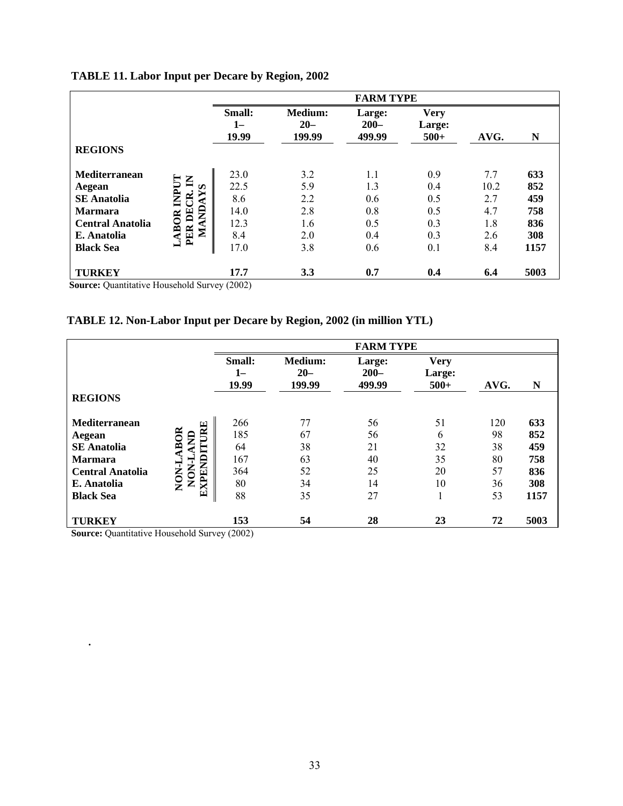|                                                      |                         |                             | <b>FARM TYPE</b>            |                                 |      |      |
|------------------------------------------------------|-------------------------|-----------------------------|-----------------------------|---------------------------------|------|------|
|                                                      | Small:<br>$1-$<br>19.99 | Medium:<br>$20 -$<br>199.99 | Large:<br>$200 -$<br>499.99 | <b>Very</b><br>Large:<br>$500+$ | AVG. | N    |
| <b>REGIONS</b>                                       |                         |                             |                             |                                 |      |      |
| Mediterranean                                        | 23.0                    | 3.2                         | 1.1                         | 0.9                             | 7.7  | 633  |
| $\mathbf{z}$<br>Aegean<br>$\boldsymbol{\omega}$      | 22.5                    | 5.9                         | 1.3                         | 0.4                             | 10.2 | 852  |
| $\mathbf{A} \mathbf{Y}$<br>CR.<br><b>SE</b> Anatolia | 8.6                     | 2.2                         | 0.6                         | 0.5                             | 2.7  | 459  |
| <b>Marmara</b>                                       | 14.0                    | 2.8                         | 0.8                         | 0.5                             | 4.7  | 758  |
| MAND<br><b>Central Anatolia</b>                      | 12.3                    | 1.6                         | 0.5                         | 0.3                             | 1.8  | 836  |
| <b>LABOR INPUT</b><br>PER DE<br>E. Anatolia          | 8.4                     | 2.0                         | 0.4                         | 0.3                             | 2.6  | 308  |
| <b>Black Sea</b>                                     | 17.0                    | 3.8                         | 0.6                         | 0.1                             | 8.4  | 1157 |
| <b>TURKEY</b>                                        | 17.7                    | 3.3                         | 0.7                         | 0.4                             | 6.4  | 5003 |

### **TABLE 11. Labor Input per Decare by Region, 2002**

 **Source:** Quantitative Household Survey (2002)

### **TABLE 12. Non-Labor Input per Decare by Region, 2002 (in million YTL)**

|                                                              |                         |                             | <b>FARM TYPE</b>            |                                 |      |      |
|--------------------------------------------------------------|-------------------------|-----------------------------|-----------------------------|---------------------------------|------|------|
|                                                              | Small:<br>$1-$<br>19.99 | Medium:<br>$20 -$<br>199.99 | Large:<br>$200 -$<br>499.99 | <b>Very</b><br>Large:<br>$500+$ | AVG. | N    |
| <b>REGIONS</b>                                               |                         |                             |                             |                                 |      |      |
| Mediterranean<br>RE                                          | 266                     | 77                          | 56                          | 51                              | 120  | 633  |
| Aegean<br>₽                                                  | 185                     | 67                          | 56                          | 6                               | 98   | 852  |
| <b>SE Anatolia</b>                                           | 64                      | 38                          | 21                          | 32                              | 38   | 459  |
| <b>Marmara</b><br>╤                                          | 167                     | 63                          | 40                          | 35                              | 80   | 758  |
| Š<br>囙<br><b>Central Anatolia</b>                            | 364                     | 52                          | 25                          | 20                              | 57   | 836  |
| NON-LABOR<br>≏<br>E. Anatolia                                | 80                      | 34                          | 14                          | 10                              | 36   | 308  |
| $\mathbf{K}$<br><b>Black Sea</b>                             | 88                      | 35                          | 27                          |                                 | 53   | 1157 |
| <b>TURKEY</b><br>Course Quentitative Household Survey (2002) | 153                     | 54                          | 28                          | 23                              | 72   | 5003 |

**Source:** Quantitative Household Survey (2002)

**.**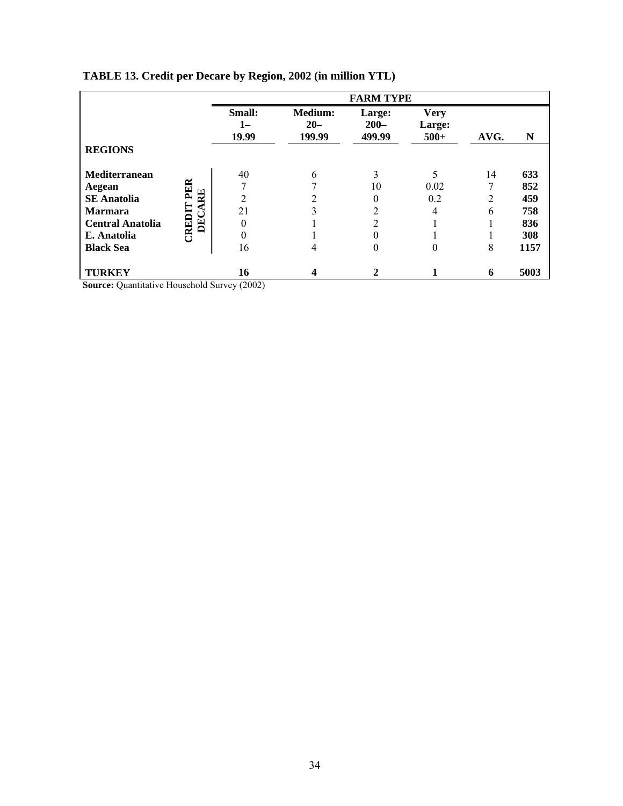|                         |                      | <b>FARM TYPE</b>        |                             |                             |                                 |                |      |  |  |  |  |  |
|-------------------------|----------------------|-------------------------|-----------------------------|-----------------------------|---------------------------------|----------------|------|--|--|--|--|--|
|                         |                      | Small:<br>$1-$<br>19.99 | Medium:<br>$20 -$<br>199.99 | Large:<br>$200 -$<br>499.99 | <b>Very</b><br>Large:<br>$500+$ | AVG.           | N    |  |  |  |  |  |
| <b>REGIONS</b>          |                      |                         |                             |                             |                                 |                |      |  |  |  |  |  |
| <b>Mediterranean</b>    |                      | 40                      | 6                           | 3                           | 5                               | 14             | 633  |  |  |  |  |  |
| Aegean                  | PER                  |                         |                             | 10                          | 0.02                            |                | 852  |  |  |  |  |  |
| <b>SE</b> Anatolia      | <b>ARE</b>           |                         |                             |                             | 0.2                             | $\mathfrak{D}$ | 459  |  |  |  |  |  |
| <b>Marmara</b>          |                      | 21                      |                             |                             | 4                               | 6              | 758  |  |  |  |  |  |
| <b>Central Anatolia</b> | <b>TIGRET</b><br>DEC | 0                       |                             |                             |                                 |                | 836  |  |  |  |  |  |
| E. Anatolia             |                      | 0                       |                             |                             |                                 |                | 308  |  |  |  |  |  |
| <b>Black Sea</b>        |                      | 16                      |                             |                             | 0                               | 8              | 1157 |  |  |  |  |  |
| <b>TURKEY</b>           |                      | 16                      |                             |                             |                                 | 6              | 5003 |  |  |  |  |  |

# **TABLE 13. Credit per Decare by Region, 2002 (in million YTL)**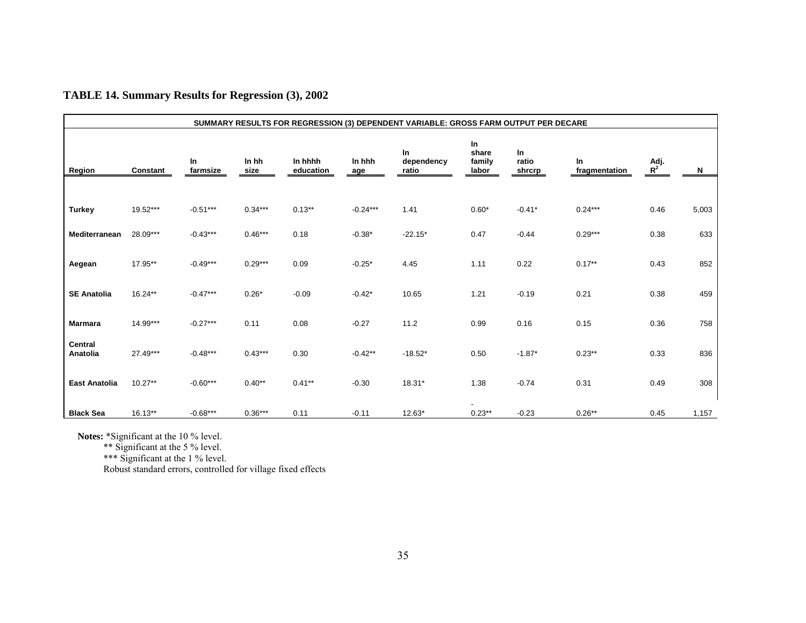|  |  | TABLE 14. Summary Results for Regression (3), 2002 |  |
|--|--|----------------------------------------------------|--|
|  |  |                                                    |  |

| SUMMARY RESULTS FOR REGRESSION (3) DEPENDENT VARIABLE: GROSS FARM OUTPUT PER DECARE |            |                |               |                      |               |                                  |                                |                              |                     |               |       |
|-------------------------------------------------------------------------------------|------------|----------------|---------------|----------------------|---------------|----------------------------------|--------------------------------|------------------------------|---------------------|---------------|-------|
| Region                                                                              | Constant   | In<br>farmsize | In hh<br>size | In hhhh<br>education | In hhh<br>age | <b>In</b><br>dependency<br>ratio | In<br>share<br>family<br>labor | In<br>ratio<br><b>shrcrp</b> | In<br>fragmentation | Adj.<br>$R^2$ | N     |
|                                                                                     |            |                |               |                      |               |                                  |                                |                              |                     |               |       |
| <b>Turkey</b>                                                                       | 19.52***   | $-0.51***$     | $0.34***$     | $0.13***$            | $-0.24***$    | 1.41                             | $0.60*$                        | $-0.41*$                     | $0.24***$           | 0.46          | 5,003 |
| Mediterranean                                                                       | 28.09***   | $-0.43***$     | $0.46***$     | 0.18                 | $-0.38*$      | $-22.15*$                        | 0.47                           | $-0.44$                      | $0.29***$           | 0.38          | 633   |
| Aegean                                                                              | 17.95**    | $-0.49***$     | $0.29***$     | 0.09                 | $-0.25*$      | 4.45                             | 1.11                           | 0.22                         | $0.17***$           | 0.43          | 852   |
| <b>SE Anatolia</b>                                                                  | $16.24***$ | $-0.47***$     | $0.26*$       | $-0.09$              | $-0.42*$      | 10.65                            | 1.21                           | $-0.19$                      | 0.21                | 0.38          | 459   |
| <b>Marmara</b>                                                                      | 14.99***   | $-0.27***$     | 0.11          | 0.08                 | $-0.27$       | 11.2                             | 0.99                           | 0.16                         | 0.15                | 0.36          | 758   |
| <b>Central</b><br>Anatolia                                                          | 27.49***   | $-0.48***$     | $0.43***$     | 0.30                 | $-0.42**$     | $-18.52*$                        | 0.50                           | $-1.87*$                     | $0.23**$            | 0.33          | 836   |
| <b>East Anatolia</b>                                                                | $10.27***$ | $-0.60***$     | $0.40**$      | $0.41***$            | $-0.30$       | $18.31*$                         | 1.38                           | $-0.74$                      | 0.31                | 0.49          | 308   |
| <b>Black Sea</b>                                                                    | $16.13**$  | $-0.68***$     | $0.36***$     | 0.11                 | $-0.11$       | 12.63*                           | $0.23**$                       | $-0.23$                      | $0.26**$            | 0.45          | 1,157 |

**Notes:** \*Significant at the 10 % level.

\*\* Significant at the 5 % level.

\*\*\* Significant at the 1 % level.

Robust standard errors, controlled for village fixed effects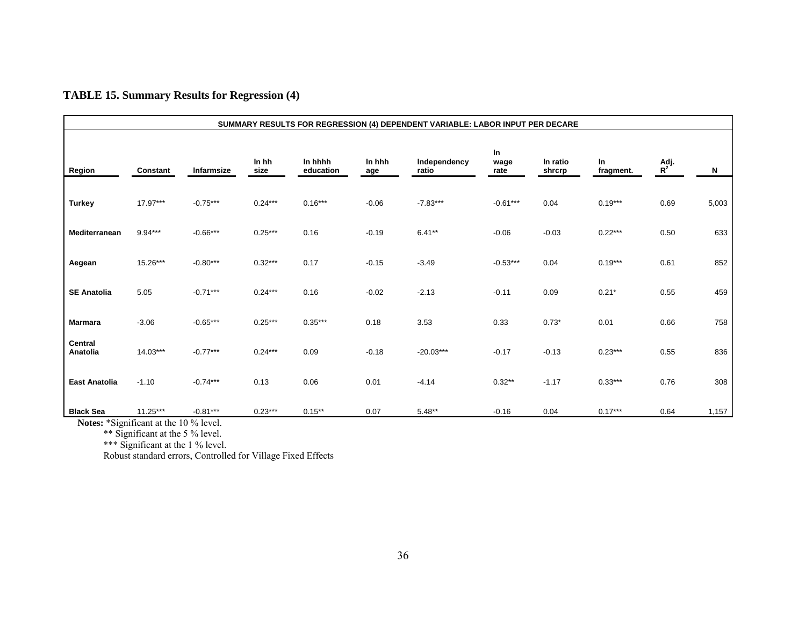### **TABLE 15. Summary Results for Regression (4)**

| SUMMARY RESULTS FOR REGRESSION (4) DEPENDENT VARIABLE: LABOR INPUT PER DECARE |                 |            |                      |                      |               |                       |                    |                    |                 |               |       |
|-------------------------------------------------------------------------------|-----------------|------------|----------------------|----------------------|---------------|-----------------------|--------------------|--------------------|-----------------|---------------|-------|
| Region                                                                        | <b>Constant</b> | Infarmsize | In hh<br><u>size</u> | In hhhh<br>education | In hhh<br>age | Independency<br>ratio | In<br>wage<br>rate | In ratio<br>shrcrp | In<br>fragment. | Adj.<br>$R^2$ | N     |
| <b>Turkey</b>                                                                 | 17.97***        | $-0.75***$ | $0.24***$            | $0.16***$            | $-0.06$       | $-7.83***$            | $-0.61***$         | 0.04               | $0.19***$       | 0.69          | 5,003 |
| Mediterranean                                                                 | $9.94***$       | $-0.66***$ | $0.25***$            | 0.16                 | $-0.19$       | $6.41**$              | $-0.06$            | $-0.03$            | $0.22***$       | 0.50          | 633   |
| Aegean                                                                        | 15.26***        | $-0.80***$ | $0.32***$            | 0.17                 | $-0.15$       | $-3.49$               | $-0.53***$         | 0.04               | $0.19***$       | 0.61          | 852   |
| <b>SE Anatolia</b>                                                            | 5.05            | $-0.71***$ | $0.24***$            | 0.16                 | $-0.02$       | $-2.13$               | $-0.11$            | 0.09               | $0.21*$         | 0.55          | 459   |
| <b>Marmara</b>                                                                | $-3.06$         | $-0.65***$ | $0.25***$            | $0.35***$            | 0.18          | 3.53                  | 0.33               | $0.73*$            | 0.01            | 0.66          | 758   |
| <b>Central</b><br>Anatolia                                                    | 14.03***        | $-0.77***$ | $0.24***$            | 0.09                 | $-0.18$       | $-20.03***$           | $-0.17$            | $-0.13$            | $0.23***$       | 0.55          | 836   |
| <b>East Anatolia</b>                                                          | $-1.10$         | $-0.74***$ | 0.13                 | 0.06                 | 0.01          | $-4.14$               | $0.32**$           | $-1.17$            | $0.33***$       | 0.76          | 308   |
| <b>Black Sea</b>                                                              | $11.25***$      | $-0.81***$ | $0.23***$            | $0.15***$            | 0.07          | $5.48**$              | $-0.16$            | 0.04               | $0.17***$       | 0.64          | 1,157 |

**Notes:** \*Significant at the 10 % level.

\*\* Significant at the 5 % level.

\*\*\* Significant at the 1 % level.

Robust standard errors, Controlled for Village Fixed Effects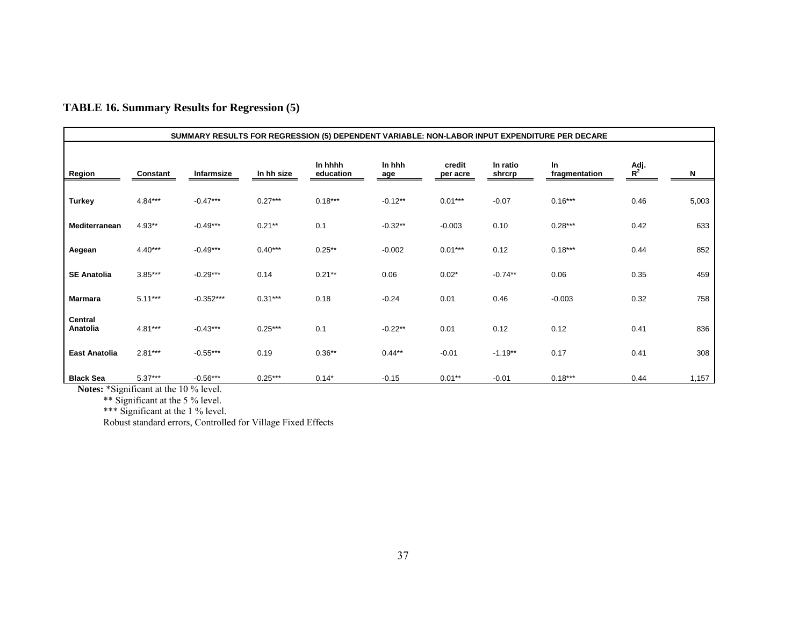### **TABLE 16. Summary Results for Regression (5)**

|                            | SUMMARY RESULTS FOR REGRESSION (5) DEPENDENT VARIABLE: NON-LABOR INPUT EXPENDITURE PER DECARE |             |            |                      |               |                    |                    |                     |                        |       |  |
|----------------------------|-----------------------------------------------------------------------------------------------|-------------|------------|----------------------|---------------|--------------------|--------------------|---------------------|------------------------|-------|--|
| Region                     | Constant                                                                                      | Infarmsize  | In hh size | In hhhh<br>education | In hhh<br>age | credit<br>per acre | In ratio<br>shrcrp | In<br>fragmentation | Adj.<br>R <sup>2</sup> | N     |  |
| <b>Turkey</b>              | 4.84***                                                                                       | $-0.47***$  | $0.27***$  | $0.18***$            | $-0.12**$     | $0.01***$          | $-0.07$            | $0.16***$           | 0.46                   | 5,003 |  |
| Mediterranean              | 4.93**                                                                                        | $-0.49***$  | $0.21***$  | 0.1                  | $-0.32**$     | $-0.003$           | 0.10               | $0.28***$           | 0.42                   | 633   |  |
| Aegean                     | $4.40***$                                                                                     | $-0.49***$  | $0.40***$  | $0.25***$            | $-0.002$      | $0.01***$          | 0.12               | $0.18***$           | 0.44                   | 852   |  |
| <b>SE Anatolia</b>         | $3.85***$                                                                                     | $-0.29***$  | 0.14       | $0.21***$            | 0.06          | $0.02*$            | $-0.74**$          | 0.06                | 0.35                   | 459   |  |
| <b>Marmara</b>             | $5.11***$                                                                                     | $-0.352***$ | $0.31***$  | 0.18                 | $-0.24$       | 0.01               | 0.46               | $-0.003$            | 0.32                   | 758   |  |
| <b>Central</b><br>Anatolia | 4.81***                                                                                       | $-0.43***$  | $0.25***$  | 0.1                  | $-0.22**$     | 0.01               | 0.12               | 0.12                | 0.41                   | 836   |  |
| <b>East Anatolia</b>       | $2.81***$                                                                                     | $-0.55***$  | 0.19       | $0.36**$             | $0.44**$      | $-0.01$            | $-1.19**$          | 0.17                | 0.41                   | 308   |  |
| <b>Black Sea</b>           | $5.37***$                                                                                     | $-0.56***$  | $0.25***$  | $0.14*$              | $-0.15$       | $0.01***$          | $-0.01$            | $0.18***$           | 0.44                   | 1,157 |  |

**Notes:** \*Significant at the 10 % level.

\*\* Significant at the 5 % level.

\*\*\* Significant at the 1 % level.

Robust standard errors, Controlled for Village Fixed Effects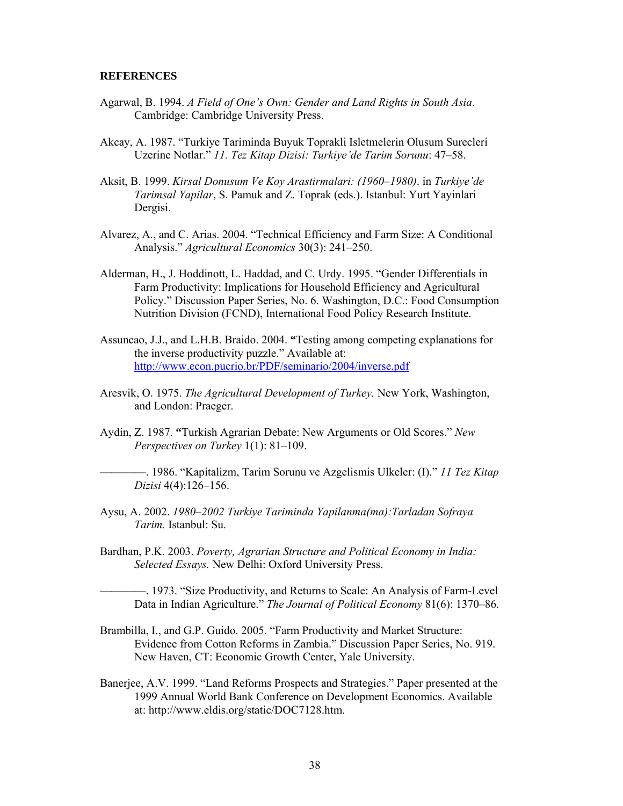#### **REFERENCES**

- Agarwal, B. 1994. *A Field of One's Own: Gender and Land Rights in South Asia*. Cambridge: Cambridge University Press.
- Akcay, A. 1987. "Turkiye Tariminda Buyuk Toprakli Isletmelerin Olusum Surecleri Uzerine Notlar." *11. Tez Kitap Dizisi: Turkiye'de Tarim Sorunu*: 47–58.
- Aksit, B. 1999. *Kirsal Donusum Ve Koy Arastirmalari: (1960–1980)*. in *Turkiye'de Tarimsal Yapilar*, S. Pamuk and Z. Toprak (eds.). Istanbul: Yurt Yayinlari Dergisi.
- Alvarez, A., and C. Arias. 2004. "Technical Efficiency and Farm Size: A Conditional Analysis." *Agricultural Economics* 30(3): 241–250.
- Alderman, H., J. Hoddinott, L. Haddad, and C. Urdy. 1995. "Gender Differentials in Farm Productivity: Implications for Household Efficiency and Agricultural Policy." Discussion Paper Series, No. 6. Washington, D.C.: Food Consumption Nutrition Division (FCND), International Food Policy Research Institute.
- Assuncao, J.J., and L.H.B. Braido. 2004. **"**Testing among competing explanations for the inverse productivity puzzle." Available at: http://www.econ.pucrio.br/PDF/seminario/2004/inverse.pdf
- Aresvik, O. 1975. *The Agricultural Development of Turkey.* New York, Washington, and London: Praeger.
- Aydin, Z. 1987. **"**Turkish Agrarian Debate: New Arguments or Old Scores." *New Perspectives on Turkey* 1(1): 81–109.
	- ————. 1986. "Kapitalizm, Tarim Sorunu ve Azgelismis Ulkeler: (I)." *11 Tez Kitap Dizisi* 4(4):126–156.
- Aysu, A. 2002. *1980–2002 Turkiye Tariminda Yapilanma(ma):Tarladan Sofraya Tarim.* Istanbul: Su.
- Bardhan, P.K. 2003. *Poverty, Agrarian Structure and Political Economy in India: Selected Essays.* New Delhi: Oxford University Press.

————. 1973. "Size Productivity, and Returns to Scale: An Analysis of Farm-Level Data in Indian Agriculture." *The Journal of Political Economy* 81(6): 1370–86.

- Brambilla, I., and G.P. Guido. 2005. "Farm Productivity and Market Structure: Evidence from Cotton Reforms in Zambia." Discussion Paper Series, No. 919. New Haven, CT: Economic Growth Center, Yale University.
- Banerjee, A.V. 1999. "Land Reforms Prospects and Strategies." Paper presented at the 1999 Annual World Bank Conference on Development Economics. Available at: http://www.eldis.org/static/DOC7128.htm.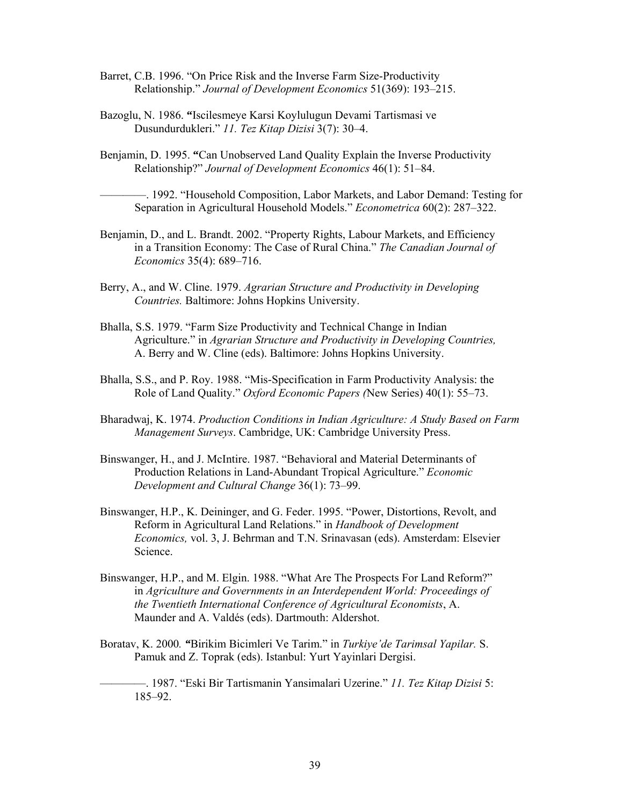- Barret, C.B. 1996. "On Price Risk and the Inverse Farm Size-Productivity Relationship." *Journal of Development Economics* 51(369): 193–215.
- Bazoglu, N. 1986. **"**Iscilesmeye Karsi Koylulugun Devami Tartismasi ve Dusundurdukleri." *11. Tez Kitap Dizisi* 3(7): 30–4.
- Benjamin, D. 1995. **"**Can Unobserved Land Quality Explain the Inverse Productivity Relationship?" *Journal of Development Economics* 46(1): 51–84.
	- ————. 1992. "Household Composition, Labor Markets, and Labor Demand: Testing for Separation in Agricultural Household Models." *Econometrica* 60(2): 287–322.
- Benjamin, D., and L. Brandt. 2002. "Property Rights, Labour Markets, and Efficiency in a Transition Economy: The Case of Rural China." *The Canadian Journal of Economics* 35(4): 689–716.
- Berry, A., and W. Cline. 1979. *Agrarian Structure and Productivity in Developing Countries.* Baltimore: Johns Hopkins University.
- Bhalla, S.S. 1979. "Farm Size Productivity and Technical Change in Indian Agriculture." in *Agrarian Structure and Productivity in Developing Countries,* A. Berry and W. Cline (eds). Baltimore: Johns Hopkins University.
- Bhalla, S.S., and P. Roy. 1988. "Mis-Specification in Farm Productivity Analysis: the Role of Land Quality." *Oxford Economic Papers (*New Series) 40(1): 55–73.
- Bharadwaj, K. 1974. *Production Conditions in Indian Agriculture: A Study Based on Farm Management Surveys*. Cambridge, UK: Cambridge University Press.
- Binswanger, H., and J. McIntire. 1987. "Behavioral and Material Determinants of Production Relations in Land-Abundant Tropical Agriculture." *Economic Development and Cultural Change* 36(1): 73–99.
- Binswanger, H.P., K. Deininger, and G. Feder. 1995. "Power, Distortions, Revolt, and Reform in Agricultural Land Relations." in *Handbook of Development Economics,* vol. 3, J. Behrman and T.N. Srinavasan (eds). Amsterdam: Elsevier Science.
- Binswanger, H.P., and M. Elgin. 1988. "What Are The Prospects For Land Reform?" in *Agriculture and Governments in an Interdependent World: Proceedings of the Twentieth International Conference of Agricultural Economists*, A. Maunder and A. Valdés (eds). Dartmouth: Aldershot.
- Boratav, K. 2000*. "*Birikim Bicimleri Ve Tarim." in *Turkiye'de Tarimsal Yapilar.* S. Pamuk and Z. Toprak (eds). Istanbul: Yurt Yayinlari Dergisi.

————. 1987. "Eski Bir Tartismanin Yansimalari Uzerine." *11. Tez Kitap Dizisi* 5: 185–92.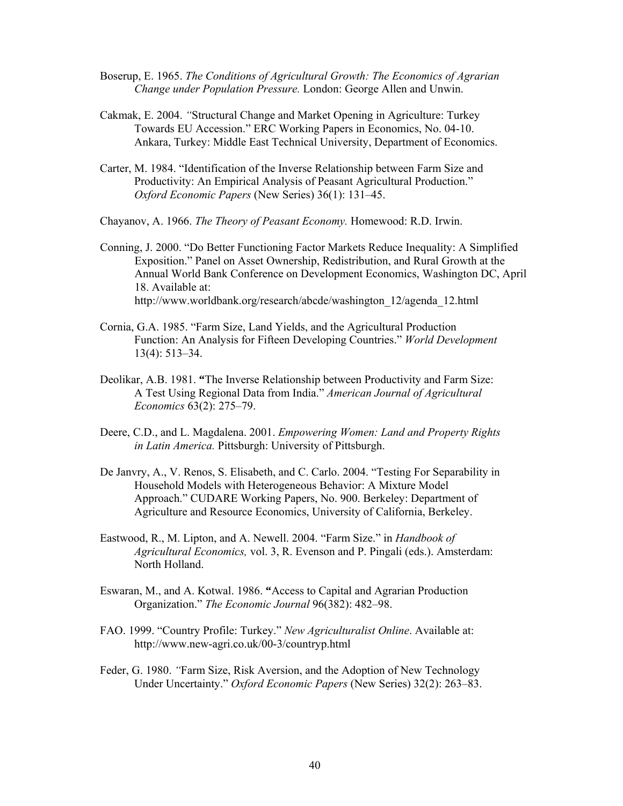- Boserup, E. 1965. *The Conditions of Agricultural Growth: The Economics of Agrarian Change under Population Pressure.* London: George Allen and Unwin.
- Cakmak, E. 2004. *"*Structural Change and Market Opening in Agriculture: Turkey Towards EU Accession." ERC Working Papers in Economics, No. 04-10. Ankara, Turkey: Middle East Technical University, Department of Economics.
- Carter, M. 1984. "Identification of the Inverse Relationship between Farm Size and Productivity: An Empirical Analysis of Peasant Agricultural Production." *Oxford Economic Papers* (New Series) 36(1): 131–45.
- Chayanov, A. 1966. *The Theory of Peasant Economy.* Homewood: R.D. Irwin.
- Conning, J. 2000. "Do Better Functioning Factor Markets Reduce Inequality: A Simplified Exposition." Panel on Asset Ownership, Redistribution, and Rural Growth at the Annual World Bank Conference on Development Economics, Washington DC, April 18. Available at: http://www.worldbank.org/research/abcde/washington\_12/agenda\_12.html
- Cornia, G.A. 1985. "Farm Size, Land Yields, and the Agricultural Production Function: An Analysis for Fifteen Developing Countries." *World Development* 13(4): 513–34.
- Deolikar, A.B. 1981. **"**The Inverse Relationship between Productivity and Farm Size: A Test Using Regional Data from India." *American Journal of Agricultural Economics* 63(2): 275–79.
- Deere, C.D., and L. Magdalena. 2001. *Empowering Women: Land and Property Rights in Latin America.* Pittsburgh: University of Pittsburgh.
- De Janvry, A., V. Renos, S. Elisabeth, and C. Carlo. 2004. "Testing For Separability in Household Models with Heterogeneous Behavior: A Mixture Model Approach." CUDARE Working Papers, No. 900. Berkeley: Department of Agriculture and Resource Economics, University of California, Berkeley.
- Eastwood, R., M. Lipton, and A. Newell. 2004. "Farm Size." in *Handbook of Agricultural Economics,* vol. 3, R. Evenson and P. Pingali (eds.). Amsterdam: North Holland.
- Eswaran, M., and A. Kotwal. 1986. **"**Access to Capital and Agrarian Production Organization." *The Economic Journal* 96(382): 482–98.
- FAO. 1999. "Country Profile: Turkey." *New Agriculturalist Online*. Available at: http://www.new-agri.co.uk/00-3/countryp.html
- Feder, G. 1980. *"*Farm Size, Risk Aversion, and the Adoption of New Technology Under Uncertainty." *Oxford Economic Papers* (New Series) 32(2): 263–83.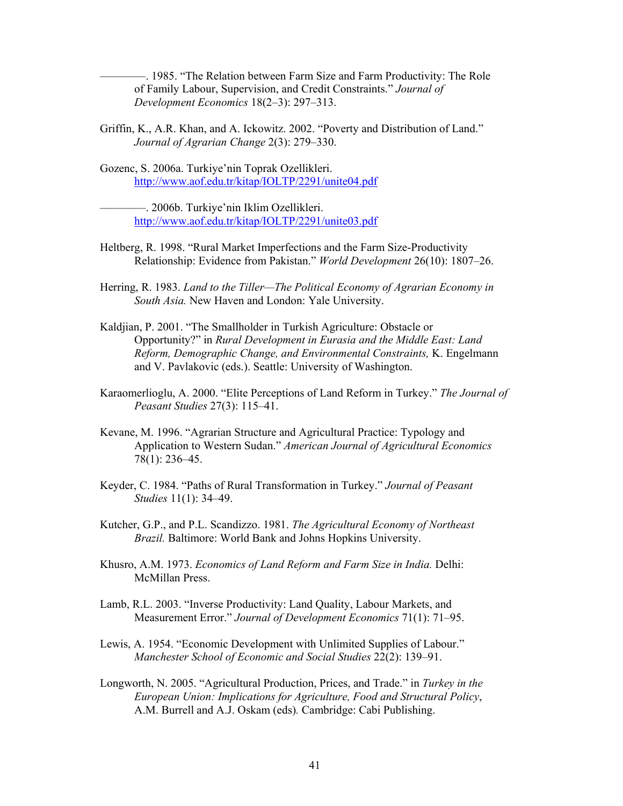————. 1985. "The Relation between Farm Size and Farm Productivity: The Role of Family Labour, Supervision, and Credit Constraints." *Journal of Development Economics* 18(2–3): 297–313.

- Griffin, K., A.R. Khan, and A. Ickowitz. 2002. "Poverty and Distribution of Land." *Journal of Agrarian Change* 2(3): 279–330.
- Gozenc, S. 2006a. Turkiye'nin Toprak Ozellikleri. http://www.aof.edu.tr/kitap/IOLTP/2291/unite04.pdf

————. 2006b. Turkiye'nin Iklim Ozellikleri. http://www.aof.edu.tr/kitap/IOLTP/2291/unite03.pdf

- Heltberg, R. 1998. "Rural Market Imperfections and the Farm Size-Productivity Relationship: Evidence from Pakistan." *World Development* 26(10): 1807–26.
- Herring, R. 1983. *Land to the Tiller—The Political Economy of Agrarian Economy in South Asia.* New Haven and London: Yale University.
- Kaldjian, P. 2001. "The Smallholder in Turkish Agriculture: Obstacle or Opportunity?" in *Rural Development in Eurasia and the Middle East: Land Reform, Demographic Change, and Environmental Constraints,* K. Engelmann and V. Pavlakovic (eds.). Seattle: University of Washington.
- Karaomerlioglu, A. 2000. "Elite Perceptions of Land Reform in Turkey." *The Journal of Peasant Studies* 27(3): 115–41.
- Kevane, M. 1996. "Agrarian Structure and Agricultural Practice: Typology and Application to Western Sudan." *American Journal of Agricultural Economics* 78(1): 236–45.
- Keyder, C. 1984. "Paths of Rural Transformation in Turkey." *Journal of Peasant Studies* 11(1): 34–49.
- Kutcher, G.P., and P.L. Scandizzo. 1981. *The Agricultural Economy of Northeast Brazil.* Baltimore: World Bank and Johns Hopkins University.
- Khusro, A.M. 1973. *Economics of Land Reform and Farm Size in India.* Delhi: McMillan Press.
- Lamb, R.L. 2003. "Inverse Productivity: Land Quality, Labour Markets, and Measurement Error." *Journal of Development Economics* 71(1): 71–95.
- Lewis, A. 1954. "Economic Development with Unlimited Supplies of Labour." *Manchester School of Economic and Social Studies* 22(2): 139–91.
- Longworth, N. 2005. "Agricultural Production, Prices, and Trade." in *Turkey in the European Union: Implications for Agriculture, Food and Structural Policy*, A.M. Burrell and A.J. Oskam (eds)*.* Cambridge: Cabi Publishing.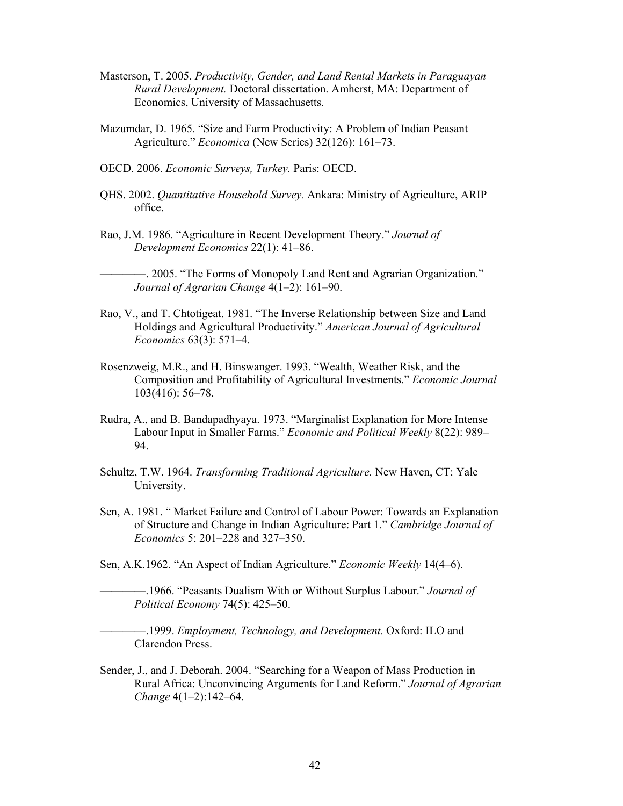- Masterson, T. 2005. *Productivity, Gender, and Land Rental Markets in Paraguayan Rural Development.* Doctoral dissertation. Amherst, MA: Department of Economics, University of Massachusetts.
- Mazumdar, D. 1965. "Size and Farm Productivity: A Problem of Indian Peasant Agriculture." *Economica* (New Series) 32(126): 161–73.
- OECD. 2006. *Economic Surveys, Turkey.* Paris: OECD.
- QHS. 2002. *Quantitative Household Survey.* Ankara: Ministry of Agriculture, ARIP office.
- Rao, J.M. 1986. "Agriculture in Recent Development Theory." *Journal of Development Economics* 22(1): 41–86.

————. 2005. "The Forms of Monopoly Land Rent and Agrarian Organization." *Journal of Agrarian Change* 4(1–2): 161–90.

- Rao, V., and T. Chtotigeat. 1981. "The Inverse Relationship between Size and Land Holdings and Agricultural Productivity." *American Journal of Agricultural Economics* 63(3): 571–4.
- Rosenzweig, M.R., and H. Binswanger. 1993. "Wealth, Weather Risk, and the Composition and Profitability of Agricultural Investments." *Economic Journal*  103(416): 56–78.
- Rudra, A., and B. Bandapadhyaya. 1973. "Marginalist Explanation for More Intense Labour Input in Smaller Farms." *Economic and Political Weekly* 8(22): 989– 94.
- Schultz, T.W. 1964. *Transforming Traditional Agriculture.* New Haven, CT: Yale University.
- Sen, A. 1981. " Market Failure and Control of Labour Power: Towards an Explanation of Structure and Change in Indian Agriculture: Part 1." *Cambridge Journal of Economics* 5: 201–228 and 327–350.
- Sen, A.K.1962. "An Aspect of Indian Agriculture." *Economic Weekly* 14(4–6).
- ————.1966. "Peasants Dualism With or Without Surplus Labour." *Journal of Political Economy* 74(5): 425–50.

————.1999. *Employment, Technology, and Development.* Oxford: ILO and Clarendon Press.

Sender, J., and J. Deborah. 2004. "Searching for a Weapon of Mass Production in Rural Africa: Unconvincing Arguments for Land Reform." *Journal of Agrarian Change* 4(1–2):142–64.